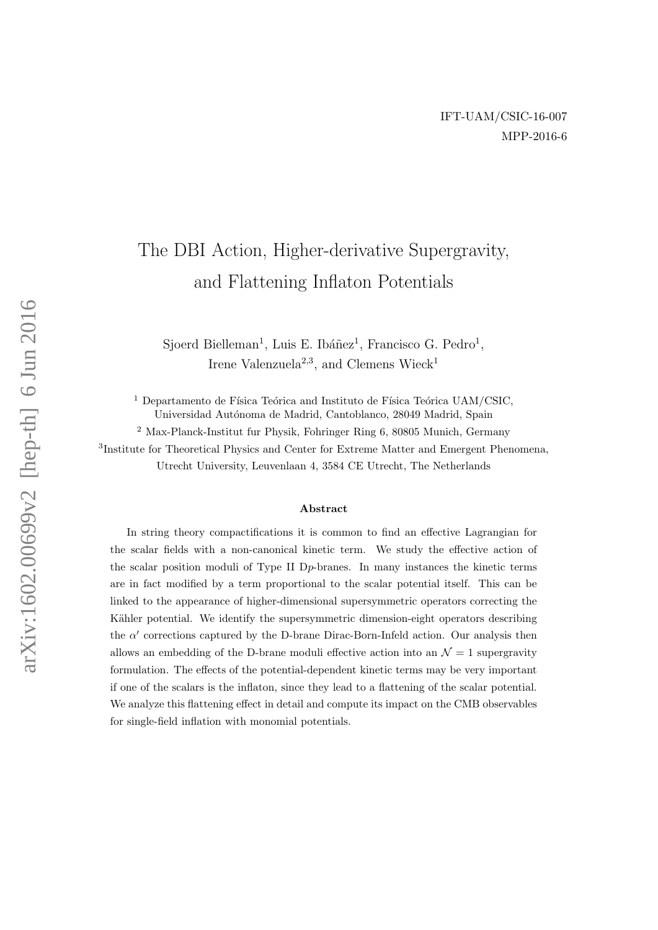# The DBI Action, Higher-derivative Supergravity, and Flattening Inflaton Potentials

Sjoerd Bielleman<sup>1</sup>, Luis E. Ibáñez<sup>1</sup>, Francisco G. Pedro<sup>1</sup>, Irene Valenzuela<sup>2,3</sup>, and Clemens Wieck<sup>1</sup>

<sup>1</sup> Departamento de Física Teórica and Instituto de Física Teórica UAM/CSIC, Universidad Autónoma de Madrid, Cantoblanco, 28049 Madrid, Spain

 $^2$ Max-Planck-Institut fur Physik, Fohringer Ring  $6, \, 80805$  Munich, Germany

3 Institute for Theoretical Physics and Center for Extreme Matter and Emergent Phenomena, Utrecht University, Leuvenlaan 4, 3584 CE Utrecht, The Netherlands

#### Abstract

In string theory compactifications it is common to find an effective Lagrangian for the scalar fields with a non-canonical kinetic term. We study the effective action of the scalar position moduli of Type II Dp-branes. In many instances the kinetic terms are in fact modified by a term proportional to the scalar potential itself. This can be linked to the appearance of higher-dimensional supersymmetric operators correcting the Kähler potential. We identify the supersymmetric dimension-eight operators describing the  $\alpha'$  corrections captured by the D-brane Dirac-Born-Infeld action. Our analysis then allows an embedding of the D-brane moduli effective action into an  $\mathcal{N}=1$  supergravity formulation. The effects of the potential-dependent kinetic terms may be very important if one of the scalars is the inflaton, since they lead to a flattening of the scalar potential. We analyze this flattening effect in detail and compute its impact on the CMB observables for single-field inflation with monomial potentials.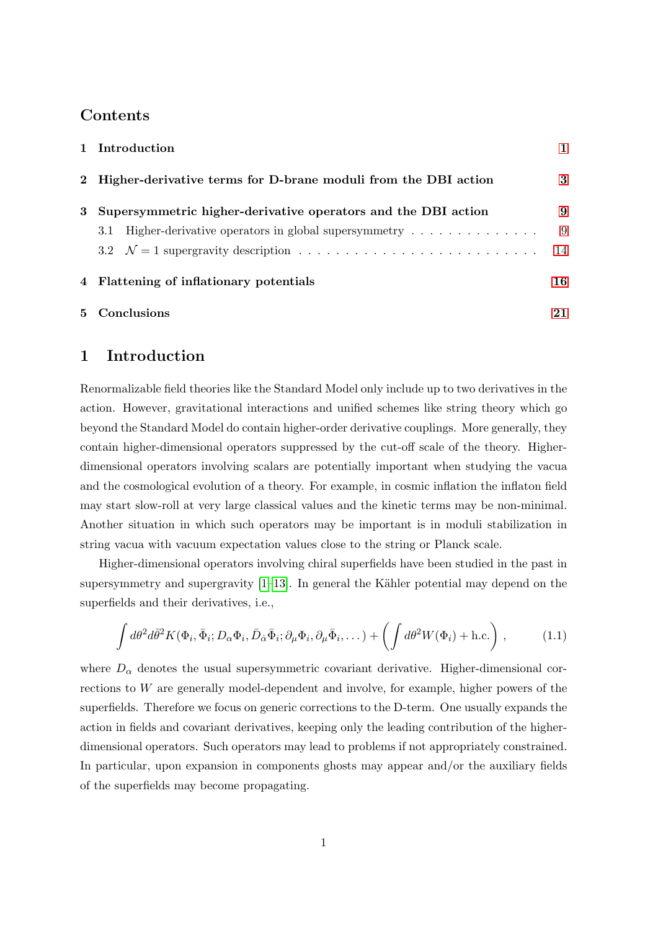## Contents

|   | 1 Introduction                                                                       |    |
|---|--------------------------------------------------------------------------------------|----|
|   | 2 Higher-derivative terms for D-brane moduli from the DBI action                     | 3  |
| 3 | Supersymmetric higher-derivative operators and the DBI action                        | 9  |
|   | Higher-derivative operators in global supersymmetry $\dots \dots \dots \dots$<br>3.1 | 9  |
|   |                                                                                      | 14 |
|   | 4 Flattening of inflationary potentials                                              | 16 |
|   | 5 Conclusions                                                                        | 21 |

## <span id="page-1-0"></span>1 Introduction

Renormalizable field theories like the Standard Model only include up to two derivatives in the action. However, gravitational interactions and unified schemes like string theory which go beyond the Standard Model do contain higher-order derivative couplings. More generally, they contain higher-dimensional operators suppressed by the cut-off scale of the theory. Higherdimensional operators involving scalars are potentially important when studying the vacua and the cosmological evolution of a theory. For example, in cosmic inflation the inflaton field may start slow-roll at very large classical values and the kinetic terms may be non-minimal. Another situation in which such operators may be important is in moduli stabilization in string vacua with vacuum expectation values close to the string or Planck scale.

Higher-dimensional operators involving chiral superfields have been studied in the past in supersymmetry and supergravity  $[1-13]$  $[1-13]$ . In general the Kähler potential may depend on the superfields and their derivatives, i.e.,

$$
\int d\theta^2 d\bar{\theta}^2 K(\Phi_i, \bar{\Phi}_i; D_\alpha \Phi_i, \bar{D}_{\dot{\alpha}} \bar{\Phi}_i; \partial_\mu \Phi_i, \partial_\mu \bar{\Phi}_i, \dots) + \left( \int d\theta^2 W(\Phi_i) + \text{h.c.} \right), \tag{1.1}
$$

where  $D_{\alpha}$  denotes the usual supersymmetric covariant derivative. Higher-dimensional corrections to W are generally model-dependent and involve, for example, higher powers of the superfields. Therefore we focus on generic corrections to the D-term. One usually expands the action in fields and covariant derivatives, keeping only the leading contribution of the higherdimensional operators. Such operators may lead to problems if not appropriately constrained. In particular, upon expansion in components ghosts may appear and/or the auxiliary fields of the superfields may become propagating.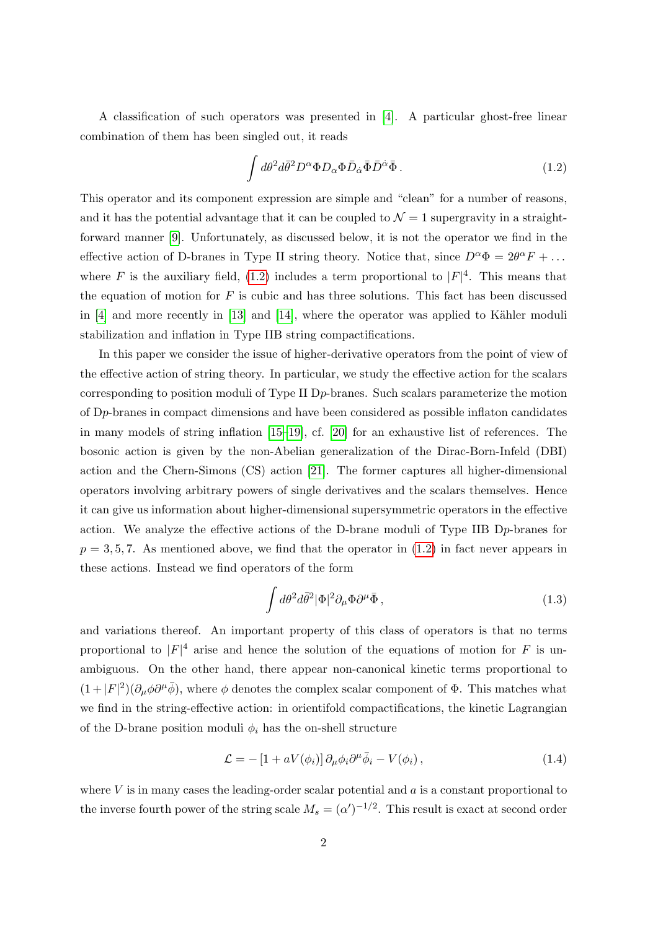A classification of such operators was presented in [\[4\]](#page-22-1). A particular ghost-free linear combination of them has been singled out, it reads

<span id="page-2-0"></span>
$$
\int d\theta^2 d\bar{\theta}^2 D^{\alpha} \Phi D_{\alpha} \Phi \bar{D}_{\dot{\alpha}} \bar{\Phi} \bar{D}^{\dot{\alpha}} \bar{\Phi} . \tag{1.2}
$$

This operator and its component expression are simple and "clean" for a number of reasons, and it has the potential advantage that it can be coupled to  $\mathcal{N}=1$  supergravity in a straightforward manner [\[9\]](#page-23-1). Unfortunately, as discussed below, it is not the operator we find in the effective action of D-branes in Type II string theory. Notice that, since  $D^{\alpha} \Phi = 2\theta^{\alpha} F + ...$ where F is the auxiliary field, [\(1.2\)](#page-2-0) includes a term proportional to  $|F|^4$ . This means that the equation of motion for  $F$  is cubic and has three solutions. This fact has been discussed in  $[4]$  and more recently in  $[13]$  and  $[14]$ , where the operator was applied to Kähler moduli stabilization and inflation in Type IIB string compactifications.

In this paper we consider the issue of higher-derivative operators from the point of view of the effective action of string theory. In particular, we study the effective action for the scalars corresponding to position moduli of Type II Dp-branes. Such scalars parameterize the motion of Dp-branes in compact dimensions and have been considered as possible inflaton candidates in many models of string inflation [\[15–](#page-23-3)[19\]](#page-23-4), cf. [\[20\]](#page-24-0) for an exhaustive list of references. The bosonic action is given by the non-Abelian generalization of the Dirac-Born-Infeld (DBI) action and the Chern-Simons (CS) action [\[21\]](#page-24-1). The former captures all higher-dimensional operators involving arbitrary powers of single derivatives and the scalars themselves. Hence it can give us information about higher-dimensional supersymmetric operators in the effective action. We analyze the effective actions of the D-brane moduli of Type IIB  $Dp$ -branes for  $p = 3, 5, 7$ . As mentioned above, we find that the operator in  $(1.2)$  in fact never appears in these actions. Instead we find operators of the form

<span id="page-2-1"></span>
$$
\int d\theta^2 d\bar{\theta}^2 |\Phi|^2 \partial_\mu \Phi \partial^\mu \bar{\Phi} , \qquad (1.3)
$$

and variations thereof. An important property of this class of operators is that no terms proportional to  $|F|^4$  arise and hence the solution of the equations of motion for F is unambiguous. On the other hand, there appear non-canonical kinetic terms proportional to  $(1+|F|^2)(\partial_\mu\phi\partial^\mu\bar{\phi})$ , where  $\phi$  denotes the complex scalar component of  $\Phi$ . This matches what we find in the string-effective action: in orientifold compactifications, the kinetic Lagrangian of the D-brane position moduli  $\phi_i$  has the on-shell structure

$$
\mathcal{L} = -\left[1 + aV(\phi_i)\right]\partial_\mu\phi_i\partial^\mu\bar{\phi}_i - V(\phi_i),\tag{1.4}
$$

where  $V$  is in many cases the leading-order scalar potential and  $a$  is a constant proportional to the inverse fourth power of the string scale  $M_s = (\alpha')^{-1/2}$ . This result is exact at second order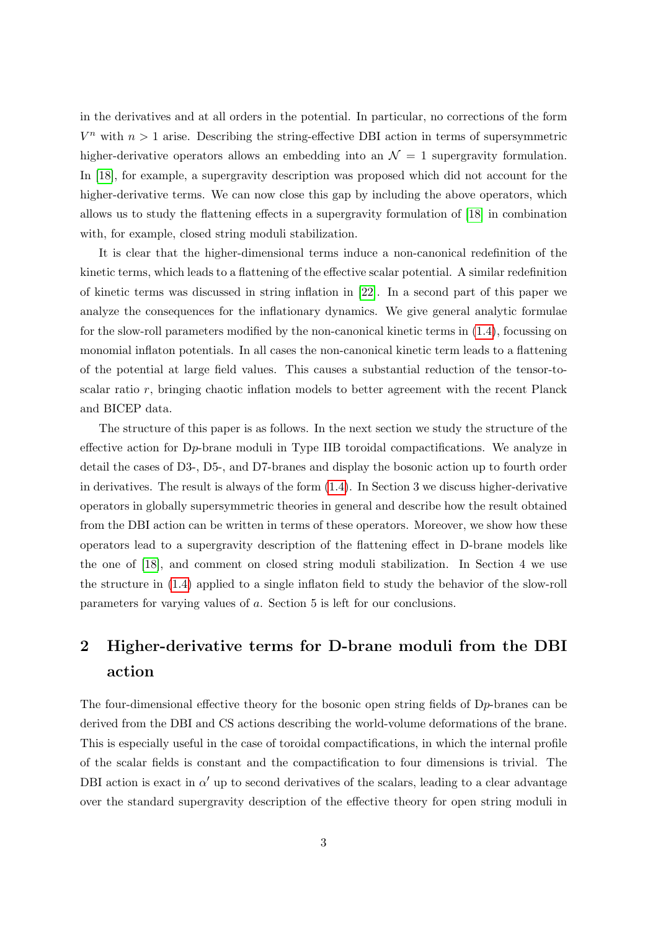in the derivatives and at all orders in the potential. In particular, no corrections of the form  $V^n$  with  $n > 1$  arise. Describing the string-effective DBI action in terms of supersymmetric higher-derivative operators allows an embedding into an  $\mathcal{N} = 1$  supergravity formulation. In [\[18\]](#page-23-5), for example, a supergravity description was proposed which did not account for the higher-derivative terms. We can now close this gap by including the above operators, which allows us to study the flattening effects in a supergravity formulation of [\[18\]](#page-23-5) in combination with, for example, closed string moduli stabilization.

It is clear that the higher-dimensional terms induce a non-canonical redefinition of the kinetic terms, which leads to a flattening of the effective scalar potential. A similar redefinition of kinetic terms was discussed in string inflation in [\[22\]](#page-24-2). In a second part of this paper we analyze the consequences for the inflationary dynamics. We give general analytic formulae for the slow-roll parameters modified by the non-canonical kinetic terms in [\(1.4\)](#page-2-1), focussing on monomial inflaton potentials. In all cases the non-canonical kinetic term leads to a flattening of the potential at large field values. This causes a substantial reduction of the tensor-toscalar ratio r, bringing chaotic inflation models to better agreement with the recent Planck and BICEP data.

The structure of this paper is as follows. In the next section we study the structure of the effective action for Dp-brane moduli in Type IIB toroidal compactifications. We analyze in detail the cases of D3-, D5-, and D7-branes and display the bosonic action up to fourth order in derivatives. The result is always of the form [\(1.4\)](#page-2-1). In Section 3 we discuss higher-derivative operators in globally supersymmetric theories in general and describe how the result obtained from the DBI action can be written in terms of these operators. Moreover, we show how these operators lead to a supergravity description of the flattening effect in D-brane models like the one of [\[18\]](#page-23-5), and comment on closed string moduli stabilization. In Section 4 we use the structure in [\(1.4\)](#page-2-1) applied to a single inflaton field to study the behavior of the slow-roll parameters for varying values of a. Section 5 is left for our conclusions.

## <span id="page-3-0"></span>2 Higher-derivative terms for D-brane moduli from the DBI action

The four-dimensional effective theory for the bosonic open string fields of  $D_p$ -branes can be derived from the DBI and CS actions describing the world-volume deformations of the brane. This is especially useful in the case of toroidal compactifications, in which the internal profile of the scalar fields is constant and the compactification to four dimensions is trivial. The DBI action is exact in  $\alpha'$  up to second derivatives of the scalars, leading to a clear advantage over the standard supergravity description of the effective theory for open string moduli in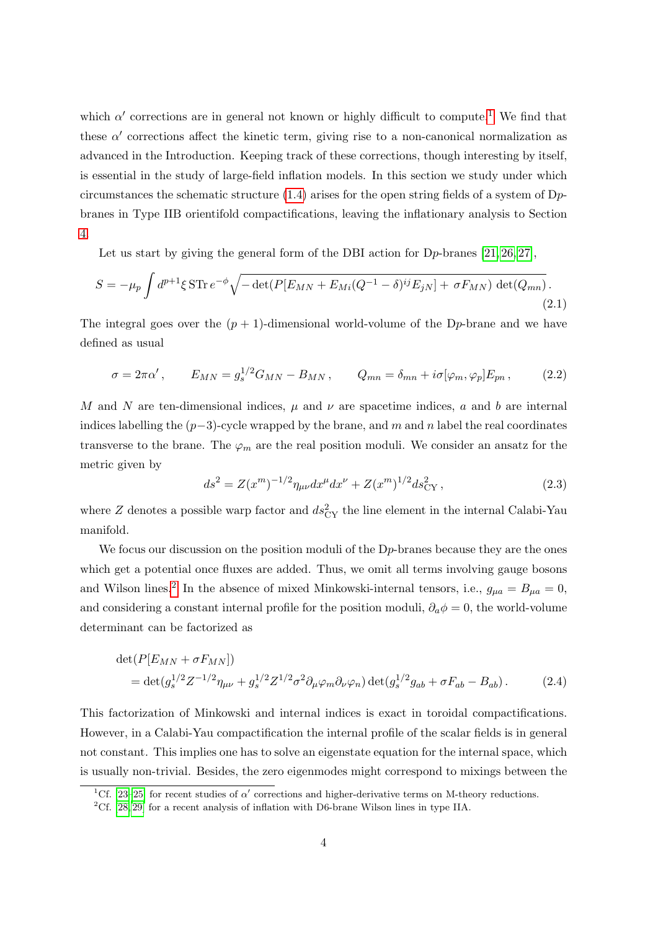which  $\alpha'$  corrections are in general not known or highly difficult to compute.<sup>[1](#page-4-0)</sup> We find that these  $\alpha'$  corrections affect the kinetic term, giving rise to a non-canonical normalization as advanced in the Introduction. Keeping track of these corrections, though interesting by itself, is essential in the study of large-field inflation models. In this section we study under which circumstances the schematic structure  $(1.4)$  arises for the open string fields of a system of Dpbranes in Type IIB orientifold compactifications, leaving the inflationary analysis to Section [4.](#page-16-0)

Let us start by giving the general form of the DBI action for  $Dp$ -branes [\[21,](#page-24-1) [26,](#page-24-3) [27\]](#page-24-4),

$$
S = -\mu_p \int d^{p+1} \xi \, \text{STr} \, e^{-\phi} \sqrt{-\det(P[E_{MN} + E_{Mi}(Q^{-1} - \delta)^{ij} E_{jN}] + \sigma F_{MN}) \det(Q_{mn})} \,. \tag{2.1}
$$

The integral goes over the  $(p + 1)$ -dimensional world-volume of the D<sub>p</sub>-brane and we have defined as usual

$$
\sigma = 2\pi\alpha', \qquad E_{MN} = g_s^{1/2} G_{MN} - B_{MN}, \qquad Q_{mn} = \delta_{mn} + i\sigma[\varphi_m, \varphi_p] E_{pn}, \qquad (2.2)
$$

M and N are ten-dimensional indices,  $\mu$  and  $\nu$  are spacetime indices, a and b are internal indices labelling the  $(p-3)$ -cycle wrapped by the brane, and m and n label the real coordinates transverse to the brane. The  $\varphi_m$  are the real position moduli. We consider an ansatz for the metric given by

$$
ds^{2} = Z(x^{m})^{-1/2} \eta_{\mu\nu} dx^{\mu} dx^{\nu} + Z(x^{m})^{1/2} ds_{CY}^{2} ,
$$
\n(2.3)

where Z denotes a possible warp factor and  $ds_{CY}^2$  the line element in the internal Calabi-Yau manifold.

We focus our discussion on the position moduli of the D<sub>p</sub>-branes because they are the ones which get a potential once fluxes are added. Thus, we omit all terms involving gauge bosons and Wilson lines.<sup>[2](#page-4-1)</sup> In the absence of mixed Minkowski-internal tensors, i.e.,  $g_{\mu a} = B_{\mu a} = 0$ , and considering a constant internal profile for the position moduli,  $\partial_a \phi = 0$ , the world-volume determinant can be factorized as

$$
\det(P[E_{MN} + \sigma F_{MN}])
$$
  
=  $\det(g_s^{1/2} Z^{-1/2} \eta_{\mu\nu} + g_s^{1/2} Z^{1/2} \sigma^2 \partial_\mu \varphi_m \partial_\nu \varphi_n) \det(g_s^{1/2} g_{ab} + \sigma F_{ab} - B_{ab}).$  (2.4)

This factorization of Minkowski and internal indices is exact in toroidal compactifications. However, in a Calabi-Yau compactification the internal profile of the scalar fields is in general not constant. This implies one has to solve an eigenstate equation for the internal space, which is usually non-trivial. Besides, the zero eigenmodes might correspond to mixings between the

<span id="page-4-1"></span><span id="page-4-0"></span><sup>&</sup>lt;sup>1</sup>Cf. [\[23–](#page-24-5)[25\]](#page-24-6) for recent studies of  $\alpha'$  corrections and higher-derivative terms on M-theory reductions.

<sup>&</sup>lt;sup>2</sup>Cf. [\[28,](#page-24-7) [29\]](#page-24-8) for a recent analysis of inflation with D6-brane Wilson lines in type IIA.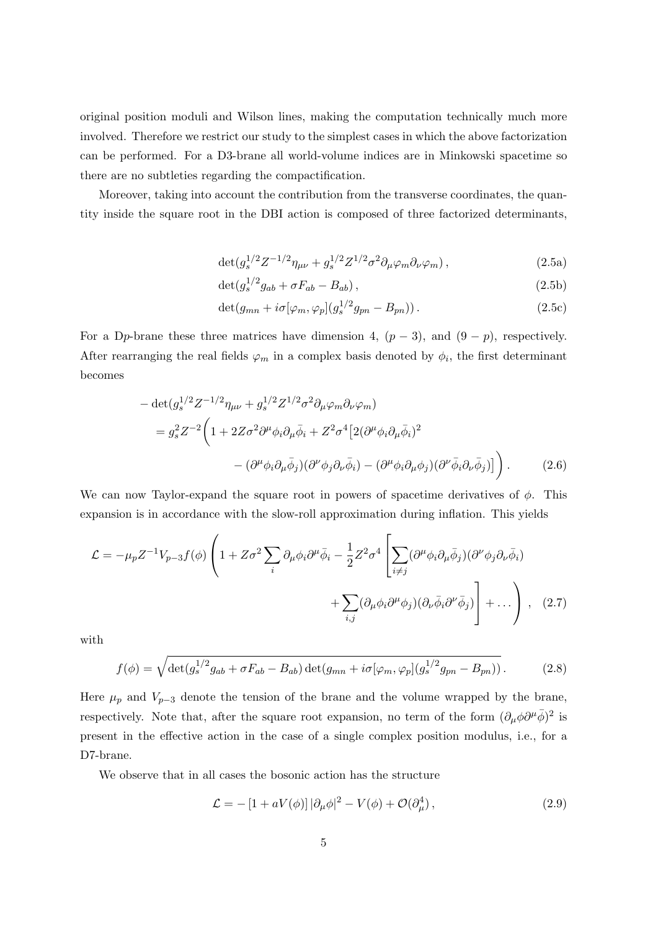original position moduli and Wilson lines, making the computation technically much more involved. Therefore we restrict our study to the simplest cases in which the above factorization can be performed. For a D3-brane all world-volume indices are in Minkowski spacetime so there are no subtleties regarding the compactification.

<span id="page-5-3"></span>Moreover, taking into account the contribution from the transverse coordinates, the quantity inside the square root in the DBI action is composed of three factorized determinants,

$$
\det(g_s^{1/2}Z^{-1/2}\eta_{\mu\nu} + g_s^{1/2}Z^{1/2}\sigma^2\partial_\mu\varphi_m\partial_\nu\varphi_m) ,\qquad (2.5a)
$$

$$
\det(g_s^{1/2}g_{ab} + \sigma F_{ab} - B_{ab}), \qquad (2.5b)
$$

$$
\det(g_{mn} + i\sigma[\varphi_m, \varphi_p](g_s^{1/2}g_{pn} - B_{pn})).
$$
\n(2.5c)

For a Dp-brane these three matrices have dimension 4,  $(p-3)$ , and  $(9-p)$ , respectively. After rearranging the real fields  $\varphi_m$  in a complex basis denoted by  $\phi_i$ , the first determinant becomes

$$
- \det(g_s^{1/2} Z^{-1/2} \eta_{\mu\nu} + g_s^{1/2} Z^{1/2} \sigma^2 \partial_\mu \varphi_m \partial_\nu \varphi_m)
$$
  
=  $g_s^2 Z^{-2} \left( 1 + 2Z \sigma^2 \partial^\mu \phi_i \partial_\mu \bar{\phi}_i + Z^2 \sigma^4 \left[ 2(\partial^\mu \phi_i \partial_\mu \bar{\phi}_i)^2 - (\partial^\mu \phi_i \partial_\mu \bar{\phi}_j)(\partial^\nu \phi_j \partial_\nu \bar{\phi}_i) - (\partial^\mu \phi_i \partial_\mu \phi_j)(\partial^\nu \bar{\phi}_i \partial_\nu \bar{\phi}_j) \right] \right).$  (2.6)

We can now Taylor-expand the square root in powers of spacetime derivatives of  $\phi$ . This expansion is in accordance with the slow-roll approximation during inflation. This yields

$$
\mathcal{L} = -\mu_p Z^{-1} V_{p-3} f(\phi) \left( 1 + Z \sigma^2 \sum_i \partial_\mu \phi_i \partial^\mu \bar{\phi}_i - \frac{1}{2} Z^2 \sigma^4 \left[ \sum_{i \neq j} (\partial^\mu \phi_i \partial_\mu \bar{\phi}_j) (\partial^\nu \phi_j \partial_\nu \bar{\phi}_i) + \sum_{i,j} (\partial_\mu \phi_i \partial^\mu \phi_j) (\partial_\nu \bar{\phi}_i \partial^\nu \bar{\phi}_j) \right] + \dots \right), \quad (2.7)
$$

with

<span id="page-5-1"></span>
$$
f(\phi) = \sqrt{\det(g_s^{1/2}g_{ab} + \sigma F_{ab} - B_{ab})\det(g_{mn} + i\sigma[\varphi_m, \varphi_p](g_s^{1/2}g_{pn} - B_{pn}))}.
$$
 (2.8)

Here  $\mu_p$  and  $V_{p-3}$  denote the tension of the brane and the volume wrapped by the brane, respectively. Note that, after the square root expansion, no term of the form  $(\partial_{\mu}\phi\partial^{\mu}\bar{\phi})^2$  is present in the effective action in the case of a single complex position modulus, i.e., for a D7-brane.

We observe that in all cases the bosonic action has the structure

<span id="page-5-2"></span><span id="page-5-0"></span>
$$
\mathcal{L} = -\left[1 + aV(\phi)\right]|\partial_{\mu}\phi|^{2} - V(\phi) + \mathcal{O}(\partial_{\mu}^{4}), \qquad (2.9)
$$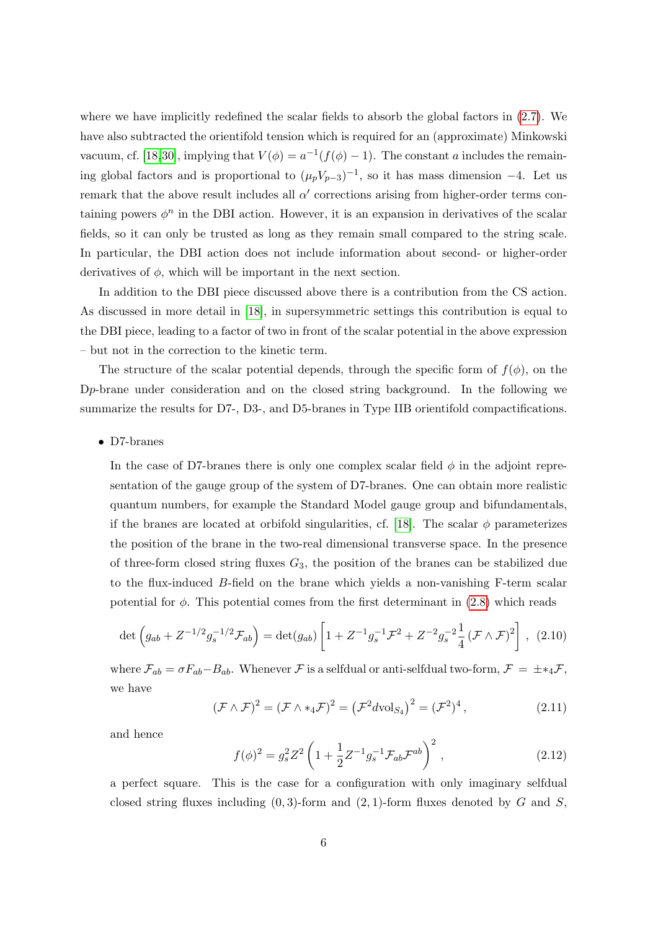where we have implicitly redefined the scalar fields to absorb the global factors in  $(2.7)$ . We have also subtracted the orientifold tension which is required for an (approximate) Minkowski vacuum, cf. [\[18,](#page-23-5)[30\]](#page-24-9), implying that  $V(\phi) = a^{-1}(f(\phi) - 1)$ . The constant a includes the remaining global factors and is proportional to  $(\mu_p V_{p-3})^{-1}$ , so it has mass dimension -4. Let us remark that the above result includes all  $\alpha'$  corrections arising from higher-order terms containing powers  $\phi^n$  in the DBI action. However, it is an expansion in derivatives of the scalar fields, so it can only be trusted as long as they remain small compared to the string scale. In particular, the DBI action does not include information about second- or higher-order derivatives of  $\phi$ , which will be important in the next section.

In addition to the DBI piece discussed above there is a contribution from the CS action. As discussed in more detail in [\[18\]](#page-23-5), in supersymmetric settings this contribution is equal to the DBI piece, leading to a factor of two in front of the scalar potential in the above expression – but not in the correction to the kinetic term.

The structure of the scalar potential depends, through the specific form of  $f(\phi)$ , on the Dp-brane under consideration and on the closed string background. In the following we summarize the results for D7-, D3-, and D5-branes in Type IIB orientifold compactifications.

#### • D7-branes

In the case of D7-branes there is only one complex scalar field  $\phi$  in the adjoint representation of the gauge group of the system of D7-branes. One can obtain more realistic quantum numbers, for example the Standard Model gauge group and bifundamentals, if the branes are located at orbifold singularities, cf. [\[18\]](#page-23-5). The scalar  $\phi$  parameterizes the position of the brane in the two-real dimensional transverse space. In the presence of three-form closed string fluxes  $G_3$ , the position of the branes can be stabilized due to the flux-induced B-field on the brane which yields a non-vanishing F-term scalar potential for  $\phi$ . This potential comes from the first determinant in [\(2.8\)](#page-5-1) which reads

$$
\det\left(g_{ab} + Z^{-1/2}g_s^{-1/2}\mathcal{F}_{ab}\right) = \det(g_{ab})\left[1 + Z^{-1}g_s^{-1}\mathcal{F}^2 + Z^{-2}g_s^{-2}\frac{1}{4}\left(\mathcal{F}\wedge\mathcal{F}\right)^2\right], (2.10)
$$

where  $\mathcal{F}_{ab} = \sigma F_{ab} - B_{ab}$ . Whenever  $\mathcal{F}$  is a selfdual or anti-selfdual two-form,  $\mathcal{F} = \pm *_{4} \mathcal{F}$ , we have

$$
(\mathcal{F} \wedge \mathcal{F})^2 = (\mathcal{F} \wedge *_4 \mathcal{F})^2 = (\mathcal{F}^2 d \text{vol}_{S_4})^2 = (\mathcal{F}^2)^4,
$$
\n(2.11)

and hence

$$
f(\phi)^2 = g_s^2 Z^2 \left( 1 + \frac{1}{2} Z^{-1} g_s^{-1} \mathcal{F}_{ab} \mathcal{F}^{ab} \right)^2, \qquad (2.12)
$$

a perfect square. This is the case for a configuration with only imaginary selfdual closed string fluxes including  $(0, 3)$ -form and  $(2, 1)$ -form fluxes denoted by G and S,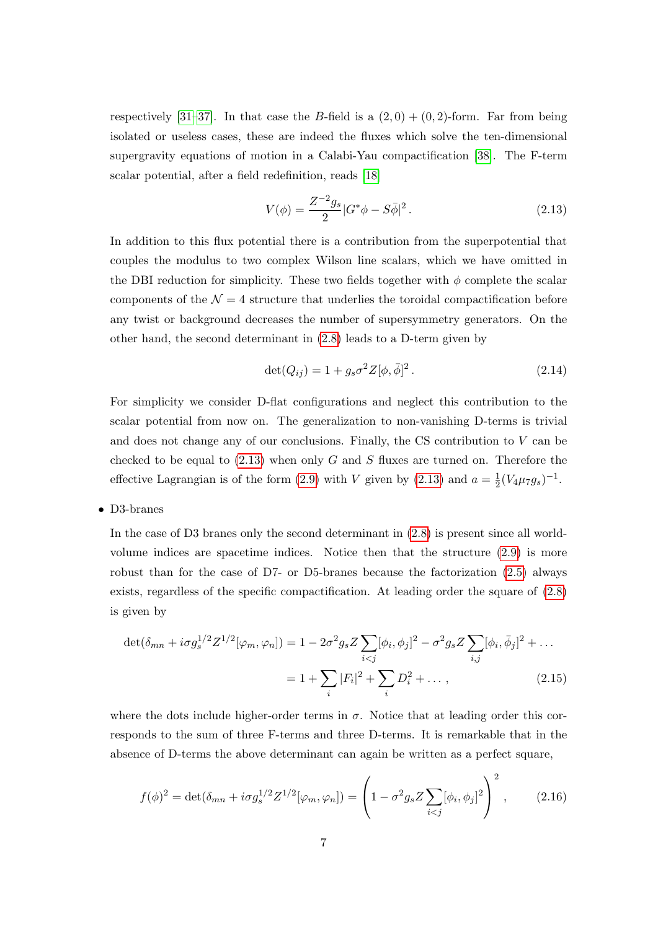respectively [\[31–](#page-24-10)[37\]](#page-25-0). In that case the B-field is a  $(2,0) + (0,2)$ -form. Far from being isolated or useless cases, these are indeed the fluxes which solve the ten-dimensional supergravity equations of motion in a Calabi-Yau compactification [\[38\]](#page-25-1). The F-term scalar potential, after a field redefinition, reads [\[18\]](#page-23-5)

<span id="page-7-0"></span>
$$
V(\phi) = \frac{Z^{-2}g_s}{2}|G^*\phi - S\bar{\phi}|^2.
$$
 (2.13)

In addition to this flux potential there is a contribution from the superpotential that couples the modulus to two complex Wilson line scalars, which we have omitted in the DBI reduction for simplicity. These two fields together with  $\phi$  complete the scalar components of the  $\mathcal{N} = 4$  structure that underlies the toroidal compactification before any twist or background decreases the number of supersymmetry generators. On the other hand, the second determinant in [\(2.8\)](#page-5-1) leads to a D-term given by

$$
\det(Q_{ij}) = 1 + g_s \sigma^2 Z[\phi, \bar{\phi}]^2. \tag{2.14}
$$

For simplicity we consider D-flat configurations and neglect this contribution to the scalar potential from now on. The generalization to non-vanishing D-terms is trivial and does not change any of our conclusions. Finally, the CS contribution to V can be checked to be equal to  $(2.13)$  when only G and S fluxes are turned on. Therefore the effective Lagrangian is of the form [\(2.9\)](#page-5-2) with V given by [\(2.13\)](#page-7-0) and  $a = \frac{1}{2}$  $\frac{1}{2}(V_4\mu_7 g_s)^{-1}.$ 

• D3-branes

In the case of D3 branes only the second determinant in  $(2.8)$  is present since all worldvolume indices are spacetime indices. Notice then that the structure [\(2.9\)](#page-5-2) is more robust than for the case of D7- or D5-branes because the factorization [\(2.5\)](#page-5-3) always exists, regardless of the specific compactification. At leading order the square of [\(2.8\)](#page-5-1) is given by

$$
\det(\delta_{mn} + i\sigma g_s^{1/2} Z^{1/2}[\varphi_m, \varphi_n]) = 1 - 2\sigma^2 g_s Z \sum_{i < j} [\phi_i, \phi_j]^2 - \sigma^2 g_s Z \sum_{i,j} [\phi_i, \bar{\phi}_j]^2 + \dots
$$
\n
$$
= 1 + \sum_i |F_i|^2 + \sum_i D_i^2 + \dots,\tag{2.15}
$$

where the dots include higher-order terms in  $\sigma$ . Notice that at leading order this corresponds to the sum of three F-terms and three D-terms. It is remarkable that in the absence of D-terms the above determinant can again be written as a perfect square,

$$
f(\phi)^2 = \det(\delta_{mn} + i\sigma g_s^{1/2} Z^{1/2}[\varphi_m, \varphi_n]) = \left(1 - \sigma^2 g_s Z \sum_{i < j} [\phi_i, \phi_j]^2\right)^2, \tag{2.16}
$$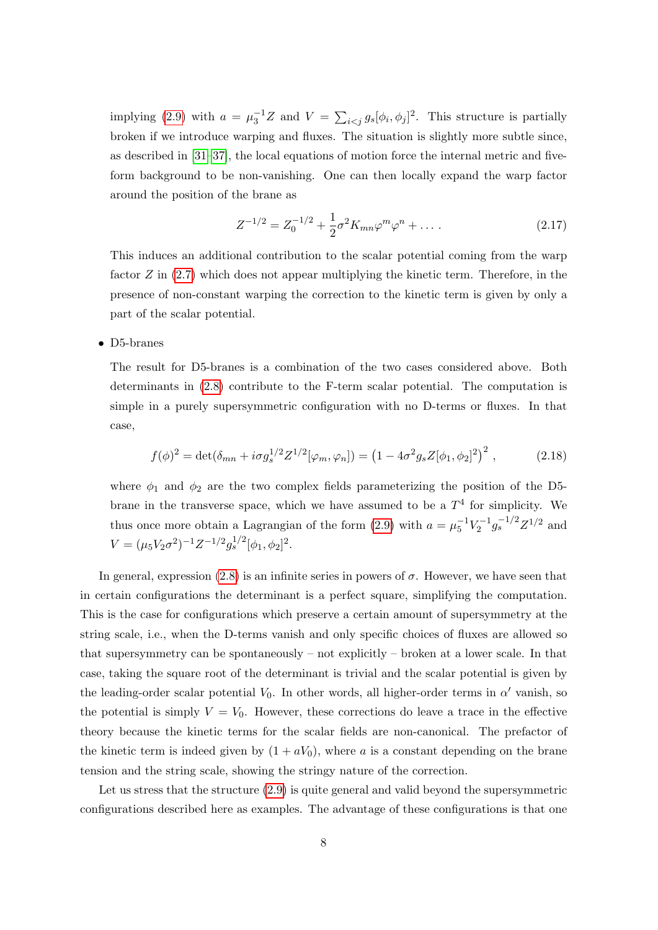implying [\(2.9\)](#page-5-2) with  $a = \mu_3^{-1}Z$  and  $V = \sum_{i < j} g_s[\phi_i, \phi_j]^2$ . This structure is partially broken if we introduce warping and fluxes. The situation is slightly more subtle since, as described in [\[31–](#page-24-10)[37\]](#page-25-0), the local equations of motion force the internal metric and fiveform background to be non-vanishing. One can then locally expand the warp factor around the position of the brane as

$$
Z^{-1/2} = Z_0^{-1/2} + \frac{1}{2}\sigma^2 K_{mn}\varphi^m \varphi^n + \dots \tag{2.17}
$$

This induces an additional contribution to the scalar potential coming from the warp factor  $Z$  in  $(2.7)$  which does not appear multiplying the kinetic term. Therefore, in the presence of non-constant warping the correction to the kinetic term is given by only a part of the scalar potential.

• D5-branes

The result for D5-branes is a combination of the two cases considered above. Both determinants in [\(2.8\)](#page-5-1) contribute to the F-term scalar potential. The computation is simple in a purely supersymmetric configuration with no D-terms or fluxes. In that case,

$$
f(\phi)^2 = \det(\delta_{mn} + i\sigma g_s^{1/2} Z^{1/2}[\varphi_m, \varphi_n]) = (1 - 4\sigma^2 g_s Z[\phi_1, \phi_2]^2)^2 , \qquad (2.18)
$$

where  $\phi_1$  and  $\phi_2$  are the two complex fields parameterizing the position of the D5brane in the transverse space, which we have assumed to be a  $T<sup>4</sup>$  for simplicity. We thus once more obtain a Lagrangian of the form  $(2.9)$  with  $a = \mu_5^{-1} V_2^{-1} g_s^{-1/2} Z^{1/2}$  and  $V = (\mu_5 V_2 \sigma^2)^{-1} Z^{-1/2} g_s^{1/2} [\phi_1, \phi_2]^2.$ 

In general, expression [\(2.8\)](#page-5-1) is an infinite series in powers of  $\sigma$ . However, we have seen that in certain configurations the determinant is a perfect square, simplifying the computation. This is the case for configurations which preserve a certain amount of supersymmetry at the string scale, i.e., when the D-terms vanish and only specific choices of fluxes are allowed so that supersymmetry can be spontaneously – not explicitly – broken at a lower scale. In that case, taking the square root of the determinant is trivial and the scalar potential is given by the leading-order scalar potential  $V_0$ . In other words, all higher-order terms in  $\alpha'$  vanish, so the potential is simply  $V = V_0$ . However, these corrections do leave a trace in the effective theory because the kinetic terms for the scalar fields are non-canonical. The prefactor of the kinetic term is indeed given by  $(1 + aV_0)$ , where a is a constant depending on the brane tension and the string scale, showing the stringy nature of the correction.

Let us stress that the structure [\(2.9\)](#page-5-2) is quite general and valid beyond the supersymmetric configurations described here as examples. The advantage of these configurations is that one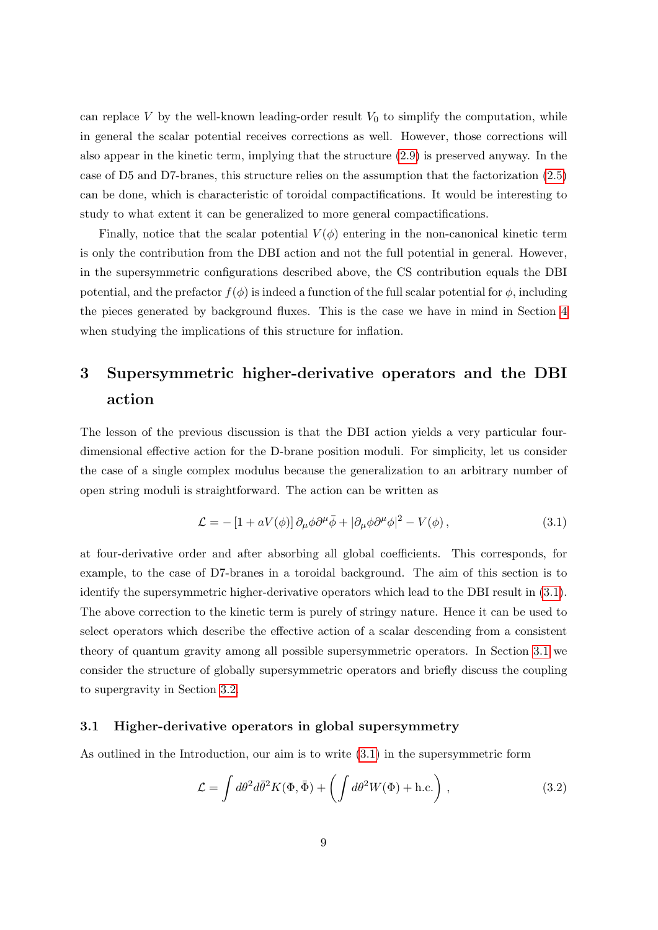can replace V by the well-known leading-order result  $V_0$  to simplify the computation, while in general the scalar potential receives corrections as well. However, those corrections will also appear in the kinetic term, implying that the structure [\(2.9\)](#page-5-2) is preserved anyway. In the case of D5 and D7-branes, this structure relies on the assumption that the factorization [\(2.5\)](#page-5-3) can be done, which is characteristic of toroidal compactifications. It would be interesting to study to what extent it can be generalized to more general compactifications.

Finally, notice that the scalar potential  $V(\phi)$  entering in the non-canonical kinetic term is only the contribution from the DBI action and not the full potential in general. However, in the supersymmetric configurations described above, the CS contribution equals the DBI potential, and the prefactor  $f(\phi)$  is indeed a function of the full scalar potential for  $\phi$ , including the pieces generated by background fluxes. This is the case we have in mind in Section [4](#page-16-0) when studying the implications of this structure for inflation.

## <span id="page-9-0"></span>3 Supersymmetric higher-derivative operators and the DBI action

The lesson of the previous discussion is that the DBI action yields a very particular fourdimensional effective action for the D-brane position moduli. For simplicity, let us consider the case of a single complex modulus because the generalization to an arbitrary number of open string moduli is straightforward. The action can be written as

<span id="page-9-2"></span>
$$
\mathcal{L} = -\left[1 + aV(\phi)\right]\partial_{\mu}\phi\partial^{\mu}\bar{\phi} + |\partial_{\mu}\phi\partial^{\mu}\phi|^{2} - V(\phi),\tag{3.1}
$$

at four-derivative order and after absorbing all global coefficients. This corresponds, for example, to the case of D7-branes in a toroidal background. The aim of this section is to identify the supersymmetric higher-derivative operators which lead to the DBI result in [\(3.1\)](#page-9-2). The above correction to the kinetic term is purely of stringy nature. Hence it can be used to select operators which describe the effective action of a scalar descending from a consistent theory of quantum gravity among all possible supersymmetric operators. In Section [3.1](#page-9-1) we consider the structure of globally supersymmetric operators and briefly discuss the coupling to supergravity in Section [3.2.](#page-14-0)

#### <span id="page-9-1"></span>3.1 Higher-derivative operators in global supersymmetry

As outlined in the Introduction, our aim is to write [\(3.1\)](#page-9-2) in the supersymmetric form

<span id="page-9-3"></span>
$$
\mathcal{L} = \int d\theta^2 d\bar{\theta}^2 K(\Phi, \bar{\Phi}) + \left( \int d\theta^2 W(\Phi) + \text{h.c.} \right), \qquad (3.2)
$$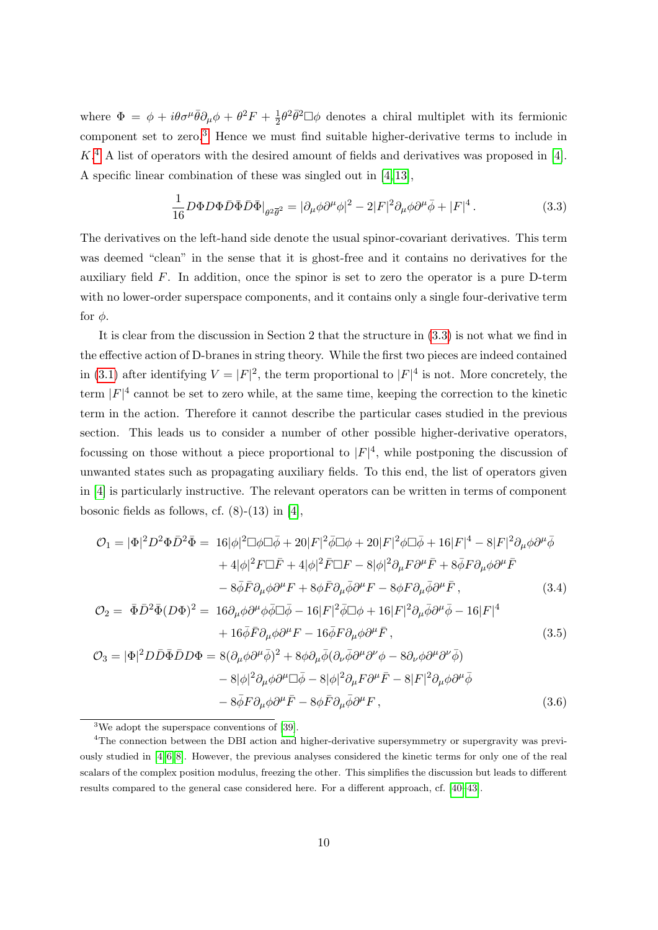where  $\Phi = \phi + i\theta\sigma^{\mu}\bar{\theta}\partial_{\mu}\phi + \theta^2F + \frac{1}{2}$  $\frac{1}{2}\theta^2\bar{\theta}^2 \Box \phi$  denotes a chiral multiplet with its fermionic component set to zero.[3](#page-10-0) Hence we must find suitable higher-derivative terms to include in  $K<sup>4</sup>$  $K<sup>4</sup>$  $K<sup>4</sup>$  A list of operators with the desired amount of fields and derivatives was proposed in [\[4\]](#page-22-1). A specific linear combination of these was singled out in [\[4,](#page-22-1) [13\]](#page-23-0),

<span id="page-10-2"></span>
$$
\frac{1}{16}D\Phi D\Phi \bar{D}\bar{\Phi}\bar{D}\bar{\Phi}\big|_{\theta^2\overline{\theta}^2} = |\partial_{\mu}\phi\partial^{\mu}\phi|^2 - 2|F|^2\partial_{\mu}\phi\partial^{\mu}\bar{\phi} + |F|^4. \tag{3.3}
$$

The derivatives on the left-hand side denote the usual spinor-covariant derivatives. This term was deemed "clean" in the sense that it is ghost-free and it contains no derivatives for the auxiliary field F. In addition, once the spinor is set to zero the operator is a pure D-term with no lower-order superspace components, and it contains only a single four-derivative term for  $\phi$ .

It is clear from the discussion in Section 2 that the structure in [\(3.3\)](#page-10-2) is not what we find in the effective action of D-branes in string theory. While the first two pieces are indeed contained in [\(3.1\)](#page-9-2) after identifying  $V = |F|^2$ , the term proportional to  $|F|^4$  is not. More concretely, the term  $|F|^4$  cannot be set to zero while, at the same time, keeping the correction to the kinetic term in the action. Therefore it cannot describe the particular cases studied in the previous section. This leads us to consider a number of other possible higher-derivative operators, focussing on those without a piece proportional to  $|F|^4$ , while postponing the discussion of unwanted states such as propagating auxiliary fields. To this end, the list of operators given in [\[4\]](#page-22-1) is particularly instructive. The relevant operators can be written in terms of component bosonic fields as follows, cf.  $(8)-(13)$  in [\[4\]](#page-22-1),

$$
\mathcal{O}_1 = |\Phi|^2 D^2 \Phi \bar{D}^2 \bar{\Phi} = 16|\phi|^2 \Box \phi \Box \bar{\phi} + 20|F|^2 \bar{\phi} \Box \phi + 20|F|^2 \phi \Box \bar{\phi} + 16|F|^4 - 8|F|^2 \partial_\mu \phi \partial^\mu \bar{\phi} \n+ 4|\phi|^2 F \Box \bar{F} + 4|\phi|^2 \bar{F} \Box F - 8|\phi|^2 \partial_\mu F \partial^\mu \bar{F} + 8 \bar{\phi} F \partial_\mu \phi \partial^\mu \bar{F} \n- 8 \bar{\phi} \bar{F} \partial_\mu \phi \partial^\mu F + 8 \phi \bar{F} \partial_\mu \bar{\phi} \partial^\mu F - 8 \phi F \partial_\mu \bar{\phi} \partial^\mu \bar{F} ,
$$
\n(3.4)

$$
\mathcal{O}_2 = \bar{\Phi}\bar{D}^2\bar{\Phi}(D\Phi)^2 = 16\partial_\mu\phi\partial^\mu\phi\bar{\phi}\Box\bar{\phi} - 16|F|^2\bar{\phi}\Box\phi + 16|F|^2\partial_\mu\bar{\phi}\partial^\mu\bar{\phi} - 16|F|^4
$$
  
+ 16 $\bar{\phi}\bar{F}\partial_\mu\phi\partial^\mu F - 16\bar{\phi}F\partial_\mu\phi\partial^\mu\bar{F}$ , (3.5)

$$
\mathcal{O}_3 = |\Phi|^2 D\bar{D}\bar{\Phi}\bar{D}D\Phi = 8(\partial_\mu\phi\partial^\mu\bar{\phi})^2 + 8\phi\partial_\mu\bar{\phi}(\partial_\nu\bar{\phi}\partial^\mu\partial^\nu\phi - 8\partial_\nu\phi\partial^\mu\partial^\nu\bar{\phi})
$$

$$
- 8|\phi|^2\partial_\mu\phi\partial^\mu\Box\bar{\phi} - 8|\phi|^2\partial_\mu F\partial^\mu\bar{F} - 8|F|^2\partial_\mu\phi\partial^\mu\bar{\phi}
$$

$$
- 8\bar{\phi}F\partial_\mu\phi\partial^\mu\bar{F} - 8\phi\bar{F}\partial_\mu\bar{\phi}\partial^\mu F , \qquad (3.6)
$$

<span id="page-10-1"></span><span id="page-10-0"></span><sup>3</sup>We adopt the superspace conventions of [\[39\]](#page-25-2).

<sup>4</sup>The connection between the DBI action and higher-derivative supersymmetry or supergravity was previously studied in [\[4,](#page-22-1) [6,](#page-23-6) [8\]](#page-23-7). However, the previous analyses considered the kinetic terms for only one of the real scalars of the complex position modulus, freezing the other. This simplifies the discussion but leads to different results compared to the general case considered here. For a different approach, cf. [\[40–](#page-25-3)[43\]](#page-25-4).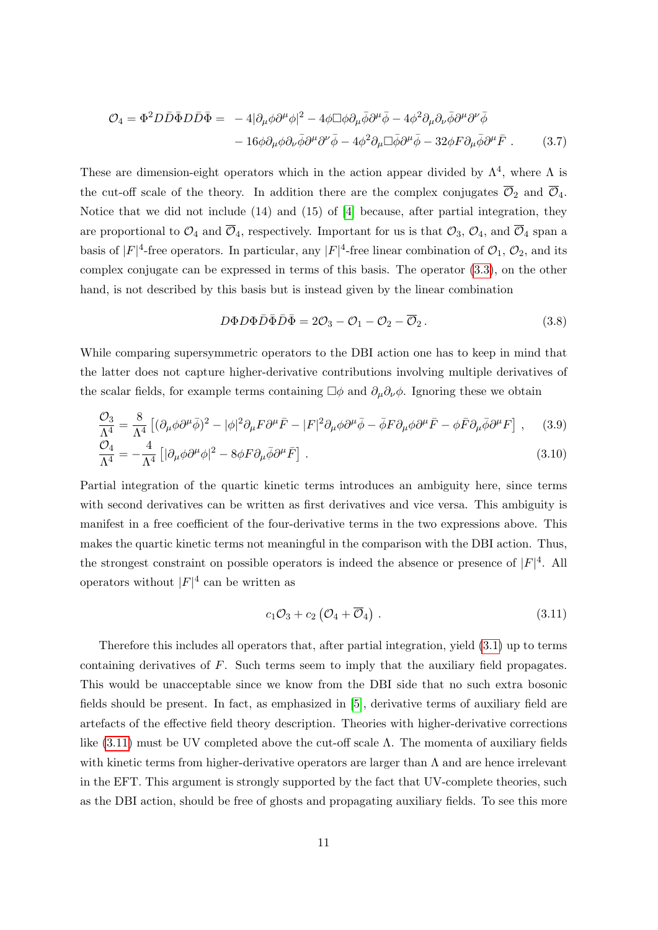$$
\mathcal{O}_4 = \Phi^2 D \bar{D} \bar{\Phi} D \bar{D} \bar{\Phi} = -4 |\partial_\mu \phi \partial^\mu \phi|^2 - 4 \phi \Box \phi \partial_\mu \bar{\phi} \partial^\mu \bar{\phi} - 4 \phi^2 \partial_\mu \partial_\nu \bar{\phi} \partial^\mu \partial^\nu \bar{\phi} \n- 16 \phi \partial_\mu \phi \partial_\nu \bar{\phi} \partial^\mu \partial^\nu \bar{\phi} - 4 \phi^2 \partial_\mu \Box \bar{\phi} \partial^\mu \bar{\phi} - 32 \phi F \partial_\mu \bar{\phi} \partial^\mu \bar{F} .
$$
\n(3.7)

These are dimension-eight operators which in the action appear divided by  $\Lambda^4$ , where  $\Lambda$  is the cut-off scale of the theory. In addition there are the complex conjugates  $\overline{\mathcal{O}}_2$  and  $\overline{\mathcal{O}}_4$ . Notice that we did not include (14) and (15) of [\[4\]](#page-22-1) because, after partial integration, they are proportional to  $\mathcal{O}_4$  and  $\overline{\mathcal{O}}_4$ , respectively. Important for us is that  $\mathcal{O}_3$ ,  $\mathcal{O}_4$ , and  $\overline{\mathcal{O}}_4$  span a basis of  $|F|^4$ -free operators. In particular, any  $|F|^4$ -free linear combination of  $\mathcal{O}_1$ ,  $\mathcal{O}_2$ , and its complex conjugate can be expressed in terms of this basis. The operator [\(3.3\)](#page-10-2), on the other hand, is not described by this basis but is instead given by the linear combination

$$
D\Phi D\Phi \bar{D}\bar{\Phi}\bar{D}\bar{\Phi} = 2\mathcal{O}_3 - \mathcal{O}_1 - \mathcal{O}_2 - \overline{\mathcal{O}}_2.
$$
\n(3.8)

While comparing supersymmetric operators to the DBI action one has to keep in mind that the latter does not capture higher-derivative contributions involving multiple derivatives of the scalar fields, for example terms containing  $\Box \phi$  and  $\partial_{\mu} \partial_{\nu} \phi$ . Ignoring these we obtain

$$
\frac{\mathcal{O}_3}{\Lambda^4} = \frac{8}{\Lambda^4} \left[ (\partial_\mu \phi \partial^\mu \bar{\phi})^2 - |\phi|^2 \partial_\mu F \partial^\mu \bar{F} - |F|^2 \partial_\mu \phi \partial^\mu \bar{\phi} - \bar{\phi} F \partial_\mu \phi \partial^\mu \bar{F} - \phi \bar{F} \partial_\mu \bar{\phi} \partial^\mu F \right], \quad (3.9)
$$
  

$$
\mathcal{O}_4 \qquad 4 \quad \text{[12, 12]} \quad \text{[12, 12]} \quad \text{[12, 12]} \quad \text{[12, 12]} \quad (3.10)
$$

$$
\frac{O_4}{\Lambda^4} = -\frac{4}{\Lambda^4} \left[ |\partial_\mu \phi \partial^\mu \phi|^2 - 8\phi F \partial_\mu \bar{\phi} \partial^\mu \bar{F} \right]. \tag{3.10}
$$

Partial integration of the quartic kinetic terms introduces an ambiguity here, since terms with second derivatives can be written as first derivatives and vice versa. This ambiguity is manifest in a free coefficient of the four-derivative terms in the two expressions above. This makes the quartic kinetic terms not meaningful in the comparison with the DBI action. Thus, the strongest constraint on possible operators is indeed the absence or presence of  $|F|^4$ . All operators without  $|F|^4$  can be written as

<span id="page-11-0"></span>
$$
c_1 \mathcal{O}_3 + c_2 \left( \mathcal{O}_4 + \overline{\mathcal{O}}_4 \right) \,. \tag{3.11}
$$

Therefore this includes all operators that, after partial integration, yield [\(3.1\)](#page-9-2) up to terms containing derivatives of F. Such terms seem to imply that the auxiliary field propagates. This would be unacceptable since we know from the DBI side that no such extra bosonic fields should be present. In fact, as emphasized in [\[5\]](#page-22-2), derivative terms of auxiliary field are artefacts of the effective field theory description. Theories with higher-derivative corrections like  $(3.11)$  must be UV completed above the cut-off scale  $\Lambda$ . The momenta of auxiliary fields with kinetic terms from higher-derivative operators are larger than  $\Lambda$  and are hence irrelevant in the EFT. This argument is strongly supported by the fact that UV-complete theories, such as the DBI action, should be free of ghosts and propagating auxiliary fields. To see this more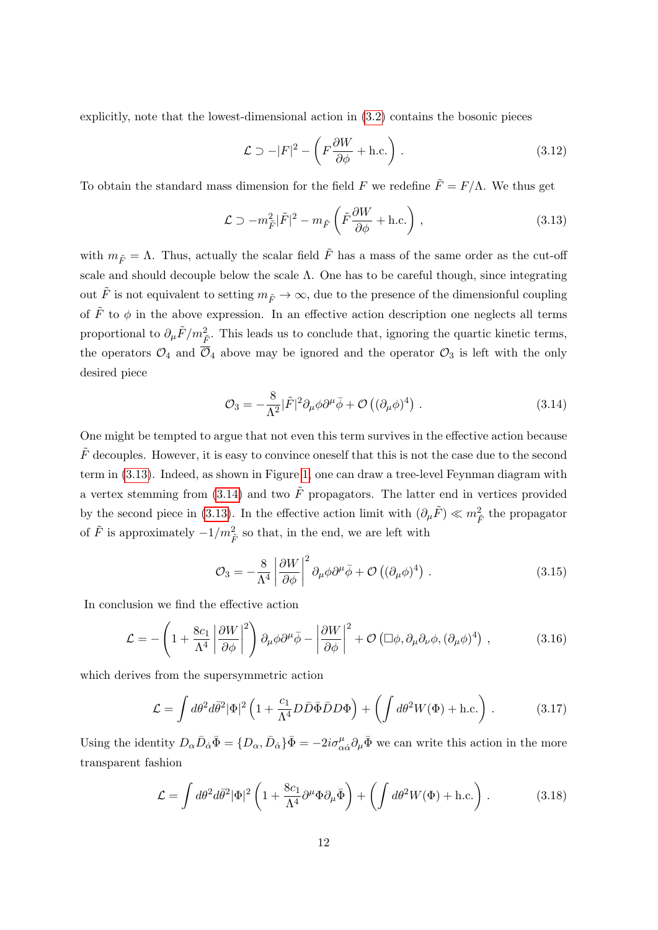explicitly, note that the lowest-dimensional action in [\(3.2\)](#page-9-3) contains the bosonic pieces

<span id="page-12-0"></span>
$$
\mathcal{L} \supset -|F|^2 - \left(F\frac{\partial W}{\partial \phi} + \text{h.c.}\right). \tag{3.12}
$$

To obtain the standard mass dimension for the field F we redefine  $\tilde{F} = F/\Lambda$ . We thus get

$$
\mathcal{L} \supset -m_{\tilde{F}}^2 |\tilde{F}|^2 - m_{\tilde{F}} \left( \tilde{F} \frac{\partial W}{\partial \phi} + \text{h.c.} \right) , \qquad (3.13)
$$

with  $m_{\tilde{F}} = \Lambda$ . Thus, actually the scalar field  $\tilde{F}$  has a mass of the same order as the cut-off scale and should decouple below the scale  $\Lambda$ . One has to be careful though, since integrating out  $\tilde{F}$  is not equivalent to setting  $m_{\tilde{F}} \to \infty$ , due to the presence of the dimensionful coupling of  $\tilde{F}$  to  $\phi$  in the above expression. In an effective action description one neglects all terms proportional to  $\partial_{\mu}\tilde{F}/m_{\tilde{F}}^2$ . This leads us to conclude that, ignoring the quartic kinetic terms, the operators  $\mathcal{O}_4$  and  $\overline{\mathcal{O}}_4$  above may be ignored and the operator  $\mathcal{O}_3$  is left with the only desired piece

<span id="page-12-1"></span>
$$
\mathcal{O}_3 = -\frac{8}{\Lambda^2} |\tilde{F}|^2 \partial_\mu \phi \partial^\mu \bar{\phi} + \mathcal{O}\left((\partial_\mu \phi)^4\right) . \tag{3.14}
$$

One might be tempted to argue that not even this term survives in the effective action because  $\tilde{F}$  decouples. However, it is easy to convince oneself that this is not the case due to the second term in [\(3.13\)](#page-12-0). Indeed, as shown in Figure [1,](#page-13-0) one can draw a tree-level Feynman diagram with a vertex stemming from [\(3.14\)](#page-12-1) and two  $\tilde{F}$  propagators. The latter end in vertices provided by the second piece in [\(3.13\)](#page-12-0). In the effective action limit with  $(\partial_{\mu}\tilde{F}) \ll m_{\tilde{F}}^2$  the propagator of  $\tilde{F}$  is approximately  $-1/m_{\tilde{F}}^2$  so that, in the end, we are left with

<span id="page-12-3"></span><span id="page-12-2"></span>
$$
\mathcal{O}_3 = -\frac{8}{\Lambda^4} \left| \frac{\partial W}{\partial \phi} \right|^2 \partial_\mu \phi \partial^\mu \bar{\phi} + \mathcal{O}\left( (\partial_\mu \phi)^4 \right) . \tag{3.15}
$$

In conclusion we find the effective action

$$
\mathcal{L} = -\left(1 + \frac{8c_1}{\Lambda^4} \left|\frac{\partial W}{\partial \phi}\right|^2\right) \partial_\mu \phi \partial^\mu \bar{\phi} - \left|\frac{\partial W}{\partial \phi}\right|^2 + \mathcal{O}\left(\Box \phi, \partial_\mu \partial_\nu \phi, (\partial_\mu \phi)^4\right) ,\tag{3.16}
$$

which derives from the supersymmetric action

$$
\mathcal{L} = \int d\theta^2 d\bar{\theta}^2 |\Phi|^2 \left( 1 + \frac{c_1}{\Lambda^4} D \bar{D} \bar{\Phi} \bar{D} D \Phi \right) + \left( \int d\theta^2 W(\Phi) + \text{h.c.} \right) . \tag{3.17}
$$

Using the identity  $D_{\alpha}\bar{D}_{\dot{\alpha}}\bar{\Phi} = \{D_{\alpha}, \bar{D}_{\dot{\alpha}}\}\bar{\Phi} = -2i\sigma^{\mu}_{\alpha\dot{\alpha}}\partial_{\mu}\bar{\Phi}$  we can write this action in the more transparent fashion

<span id="page-12-4"></span>
$$
\mathcal{L} = \int d\theta^2 d\bar{\theta}^2 |\Phi|^2 \left( 1 + \frac{8c_1}{\Lambda^4} \partial^\mu \Phi \partial_\mu \bar{\Phi} \right) + \left( \int d\theta^2 W(\Phi) + \text{h.c.} \right) . \tag{3.18}
$$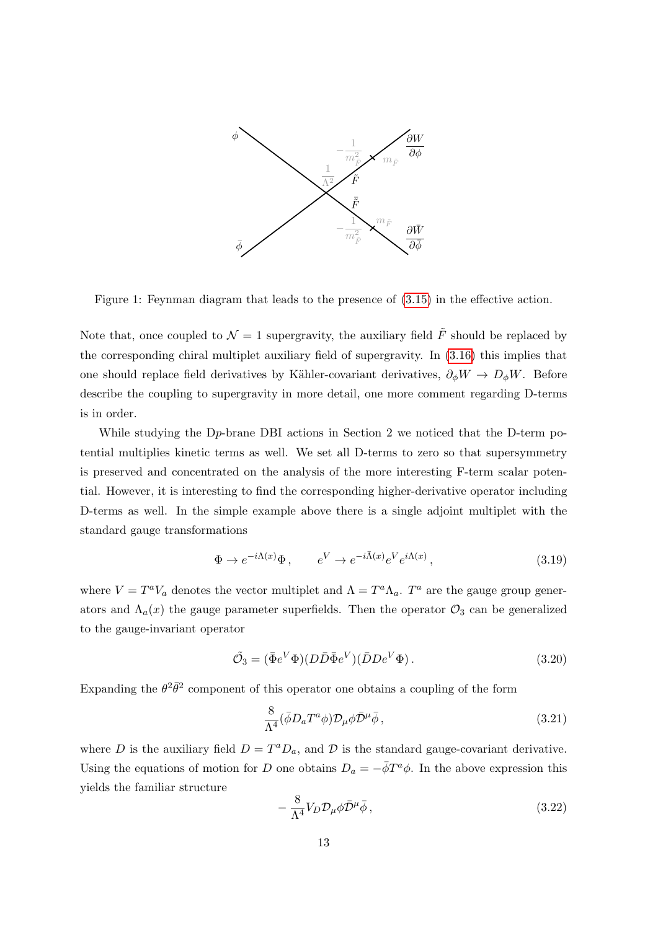

<span id="page-13-0"></span>Figure 1: Feynman diagram that leads to the presence of [\(3.15\)](#page-12-2) in the effective action.

Note that, once coupled to  $\mathcal{N} = 1$  supergravity, the auxiliary field  $\tilde{F}$  should be replaced by the corresponding chiral multiplet auxiliary field of supergravity. In [\(3.16\)](#page-12-3) this implies that one should replace field derivatives by Kähler-covariant derivatives,  $\partial_{\phi}W \to D_{\phi}W$ . Before describe the coupling to supergravity in more detail, one more comment regarding D-terms is in order.

While studying the Dp-brane DBI actions in Section 2 we noticed that the D-term potential multiplies kinetic terms as well. We set all D-terms to zero so that supersymmetry is preserved and concentrated on the analysis of the more interesting F-term scalar potential. However, it is interesting to find the corresponding higher-derivative operator including D-terms as well. In the simple example above there is a single adjoint multiplet with the standard gauge transformations

$$
\Phi \to e^{-i\Lambda(x)}\Phi \,, \qquad e^V \to e^{-i\bar{\Lambda}(x)}e^V e^{i\Lambda(x)} \,, \tag{3.19}
$$

where  $V = T^a V_a$  denotes the vector multiplet and  $\Lambda = T^a \Lambda_a$ .  $T^a$  are the gauge group generators and  $\Lambda_a(x)$  the gauge parameter superfields. Then the operator  $\mathcal{O}_3$  can be generalized to the gauge-invariant operator

$$
\tilde{\mathcal{O}}_3 = (\bar{\Phi}e^V \Phi)(D\bar{D}\bar{\Phi}e^V)(\bar{D}D e^V \Phi). \tag{3.20}
$$

Expanding the  $\theta^2 \bar{\theta}^2$  component of this operator one obtains a coupling of the form

$$
\frac{8}{\Lambda^4} (\bar{\phi} D_a T^a \phi) \mathcal{D}_{\mu} \phi \bar{\mathcal{D}}^{\mu} \bar{\phi} , \qquad (3.21)
$$

where D is the auxiliary field  $D = T^a D_a$ , and D is the standard gauge-covariant derivative. Using the equations of motion for D one obtains  $D_a = -\bar{\phi}T^a\phi$ . In the above expression this yields the familiar structure

$$
-\frac{8}{\Lambda^4}V_D \mathcal{D}_{\mu}\phi \bar{\mathcal{D}}^{\mu}\bar{\phi}\,,\tag{3.22}
$$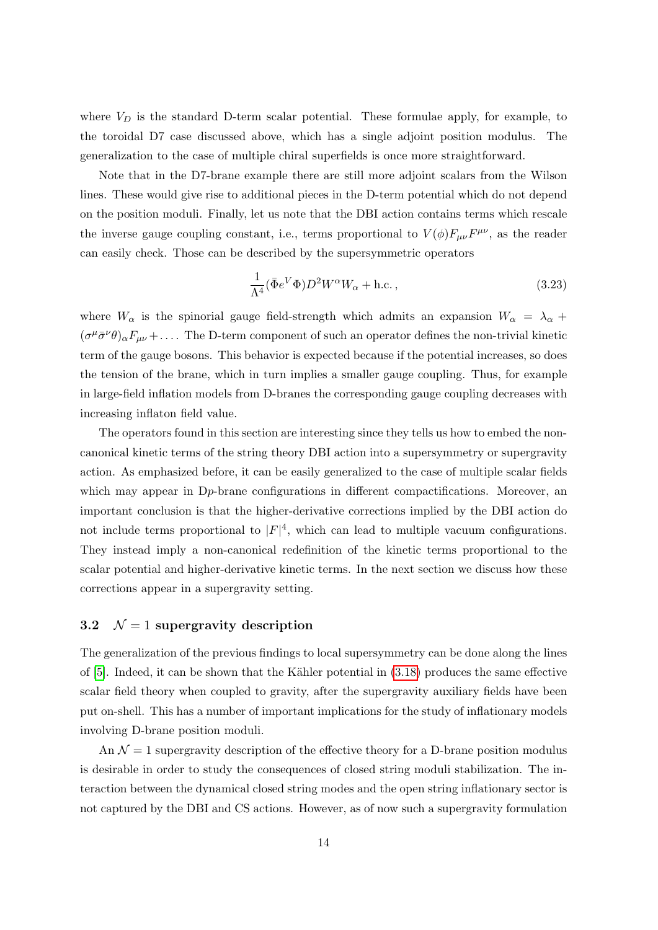where  $V_D$  is the standard D-term scalar potential. These formulae apply, for example, to the toroidal D7 case discussed above, which has a single adjoint position modulus. The generalization to the case of multiple chiral superfields is once more straightforward.

Note that in the D7-brane example there are still more adjoint scalars from the Wilson lines. These would give rise to additional pieces in the D-term potential which do not depend on the position moduli. Finally, let us note that the DBI action contains terms which rescale the inverse gauge coupling constant, i.e., terms proportional to  $V(\phi)F_{\mu\nu}F^{\mu\nu}$ , as the reader can easily check. Those can be described by the supersymmetric operators

$$
\frac{1}{\Lambda^4} (\bar{\Phi}e^V \Phi) D^2 W^\alpha W_\alpha + \text{h.c.} \,, \tag{3.23}
$$

where  $W_{\alpha}$  is the spinorial gauge field-strength which admits an expansion  $W_{\alpha} = \lambda_{\alpha} +$  $(\sigma^{\mu}\bar{\sigma}^{\nu}\theta)_{\alpha}F_{\mu\nu}+\ldots$  The D-term component of such an operator defines the non-trivial kinetic term of the gauge bosons. This behavior is expected because if the potential increases, so does the tension of the brane, which in turn implies a smaller gauge coupling. Thus, for example in large-field inflation models from D-branes the corresponding gauge coupling decreases with increasing inflaton field value.

The operators found in this section are interesting since they tells us how to embed the noncanonical kinetic terms of the string theory DBI action into a supersymmetry or supergravity action. As emphasized before, it can be easily generalized to the case of multiple scalar fields which may appear in  $D_p$ -brane configurations in different compactifications. Moreover, an important conclusion is that the higher-derivative corrections implied by the DBI action do not include terms proportional to  $|F|^4$ , which can lead to multiple vacuum configurations. They instead imply a non-canonical redefinition of the kinetic terms proportional to the scalar potential and higher-derivative kinetic terms. In the next section we discuss how these corrections appear in a supergravity setting.

#### <span id="page-14-0"></span>3.2  $\mathcal{N} = 1$  supergravity description

The generalization of the previous findings to local supersymmetry can be done along the lines of  $[5]$ . Indeed, it can be shown that the Kähler potential in  $(3.18)$  produces the same effective scalar field theory when coupled to gravity, after the supergravity auxiliary fields have been put on-shell. This has a number of important implications for the study of inflationary models involving D-brane position moduli.

An  $\mathcal{N}=1$  supergravity description of the effective theory for a D-brane position modulus is desirable in order to study the consequences of closed string moduli stabilization. The interaction between the dynamical closed string modes and the open string inflationary sector is not captured by the DBI and CS actions. However, as of now such a supergravity formulation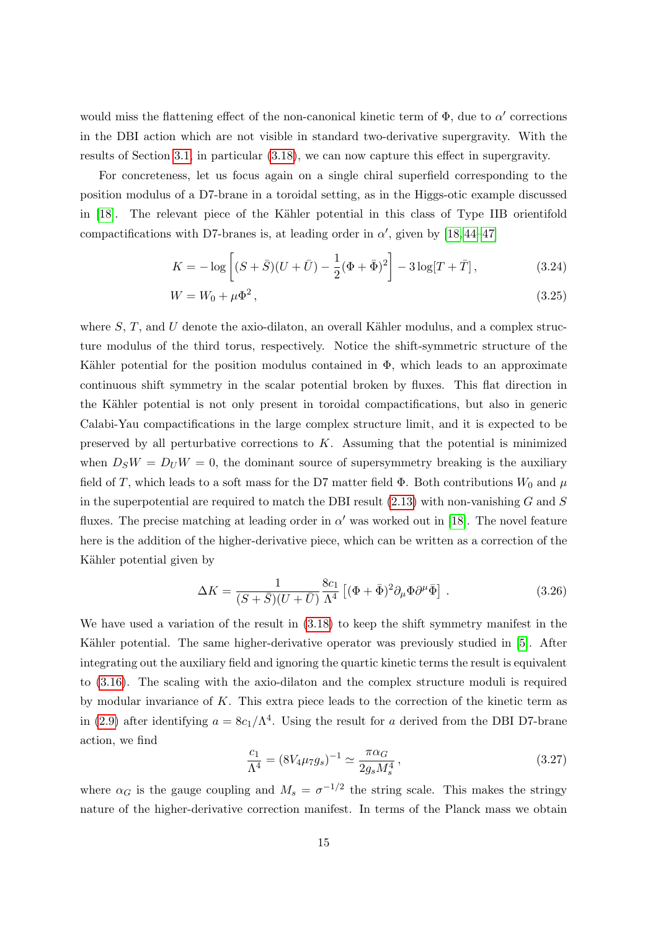would miss the flattening effect of the non-canonical kinetic term of  $\Phi$ , due to  $\alpha'$  corrections in the DBI action which are not visible in standard two-derivative supergravity. With the results of Section [3.1,](#page-9-1) in particular [\(3.18\)](#page-12-4), we can now capture this effect in supergravity.

For concreteness, let us focus again on a single chiral superfield corresponding to the position modulus of a D7-brane in a toroidal setting, as in the Higgs-otic example discussed in  $[18]$ . The relevant piece of the Kähler potential in this class of Type IIB orientifold compactifications with D7-branes is, at leading order in  $\alpha'$ , given by [\[18,](#page-23-5)44-[47\]](#page-25-6)

$$
K = -\log\left[ (S + \bar{S})(U + \bar{U}) - \frac{1}{2}(\Phi + \bar{\Phi})^2 \right] - 3\log[T + \bar{T}], \tag{3.24}
$$

$$
W = W_0 + \mu \Phi^2, \tag{3.25}
$$

where  $S, T$ , and U denote the axio-dilaton, an overall Kähler modulus, and a complex structure modulus of the third torus, respectively. Notice the shift-symmetric structure of the Kähler potential for the position modulus contained in  $\Phi$ , which leads to an approximate continuous shift symmetry in the scalar potential broken by fluxes. This flat direction in the Kähler potential is not only present in toroidal compactifications, but also in generic Calabi-Yau compactifications in the large complex structure limit, and it is expected to be preserved by all perturbative corrections to  $K$ . Assuming that the potential is minimized when  $D_S W = D_U W = 0$ , the dominant source of supersymmetry breaking is the auxiliary field of T, which leads to a soft mass for the D7 matter field  $\Phi$ . Both contributions  $W_0$  and  $\mu$ in the superpotential are required to match the DBI result  $(2.13)$  with non-vanishing G and S fluxes. The precise matching at leading order in  $\alpha'$  was worked out in [\[18\]](#page-23-5). The novel feature here is the addition of the higher-derivative piece, which can be written as a correction of the Kähler potential given by

$$
\Delta K = \frac{1}{(S+\bar{S})(U+\bar{U})} \frac{8c_1}{\Lambda^4} \left[ (\Phi + \bar{\Phi})^2 \partial_\mu \Phi \partial^\mu \bar{\Phi} \right]. \tag{3.26}
$$

We have used a variation of the result in [\(3.18\)](#page-12-4) to keep the shift symmetry manifest in the Kähler potential. The same higher-derivative operator was previously studied in [\[5\]](#page-22-2). After integrating out the auxiliary field and ignoring the quartic kinetic terms the result is equivalent to [\(3.16\)](#page-12-3). The scaling with the axio-dilaton and the complex structure moduli is required by modular invariance of K. This extra piece leads to the correction of the kinetic term as in [\(2.9\)](#page-5-2) after identifying  $a = 8c_1/\Lambda^4$ . Using the result for a derived from the DBI D7-brane action, we find

$$
\frac{c_1}{\Lambda^4} = (8V_4\mu_7 g_s)^{-1} \simeq \frac{\pi \alpha_G}{2g_s M_s^4},\tag{3.27}
$$

where  $\alpha_G$  is the gauge coupling and  $M_s = \sigma^{-1/2}$  the string scale. This makes the stringy nature of the higher-derivative correction manifest. In terms of the Planck mass we obtain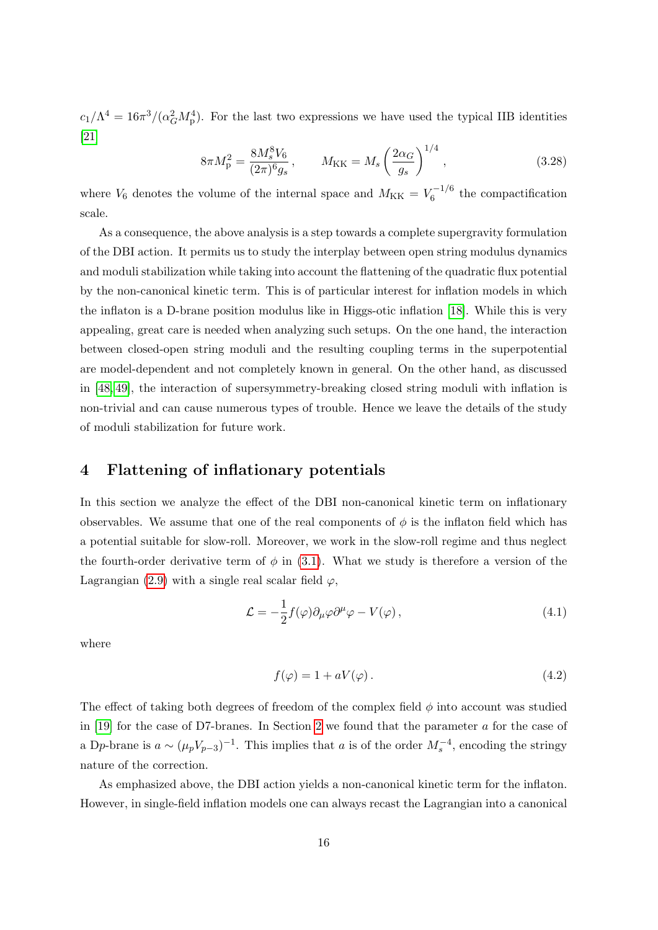$c_1/\Lambda^4 = 16\pi^3/(\alpha_G^2 M_\text{p}^4)$ . For the last two expressions we have used the typical IIB identities [\[21\]](#page-24-1)

$$
8\pi M_{\rm p}^2 = \frac{8M_s^8 V_6}{(2\pi)^6 g_s}, \qquad M_{\rm KK} = M_s \left(\frac{2\alpha_G}{g_s}\right)^{1/4}, \qquad (3.28)
$$

where  $V_6$  denotes the volume of the internal space and  $M_{KK} = V_6^{-1/6}$  $\binom{6}{6}$  the compactification scale.

As a consequence, the above analysis is a step towards a complete supergravity formulation of the DBI action. It permits us to study the interplay between open string modulus dynamics and moduli stabilization while taking into account the flattening of the quadratic flux potential by the non-canonical kinetic term. This is of particular interest for inflation models in which the inflaton is a D-brane position modulus like in Higgs-otic inflation [\[18\]](#page-23-5). While this is very appealing, great care is needed when analyzing such setups. On the one hand, the interaction between closed-open string moduli and the resulting coupling terms in the superpotential are model-dependent and not completely known in general. On the other hand, as discussed in [\[48,](#page-25-7) [49\]](#page-25-8), the interaction of supersymmetry-breaking closed string moduli with inflation is non-trivial and can cause numerous types of trouble. Hence we leave the details of the study of moduli stabilization for future work.

## <span id="page-16-0"></span>4 Flattening of inflationary potentials

In this section we analyze the effect of the DBI non-canonical kinetic term on inflationary observables. We assume that one of the real components of  $\phi$  is the inflaton field which has a potential suitable for slow-roll. Moreover, we work in the slow-roll regime and thus neglect the fourth-order derivative term of  $\phi$  in [\(3.1\)](#page-9-2). What we study is therefore a version of the Lagrangian [\(2.9\)](#page-5-2) with a single real scalar field  $\varphi$ ,

$$
\mathcal{L} = -\frac{1}{2} f(\varphi) \partial_{\mu} \varphi \partial^{\mu} \varphi - V(\varphi) , \qquad (4.1)
$$

where

<span id="page-16-1"></span>
$$
f(\varphi) = 1 + aV(\varphi). \tag{4.2}
$$

The effect of taking both degrees of freedom of the complex field  $\phi$  into account was studied in [\[19\]](#page-23-4) for the case of D7-branes. In Section [2](#page-3-0) we found that the parameter a for the case of a Dp-brane is  $a \sim (\mu_p V_{p-3})^{-1}$ . This implies that a is of the order  $M_s^{-4}$ , encoding the stringy nature of the correction.

As emphasized above, the DBI action yields a non-canonical kinetic term for the inflaton. However, in single-field inflation models one can always recast the Lagrangian into a canonical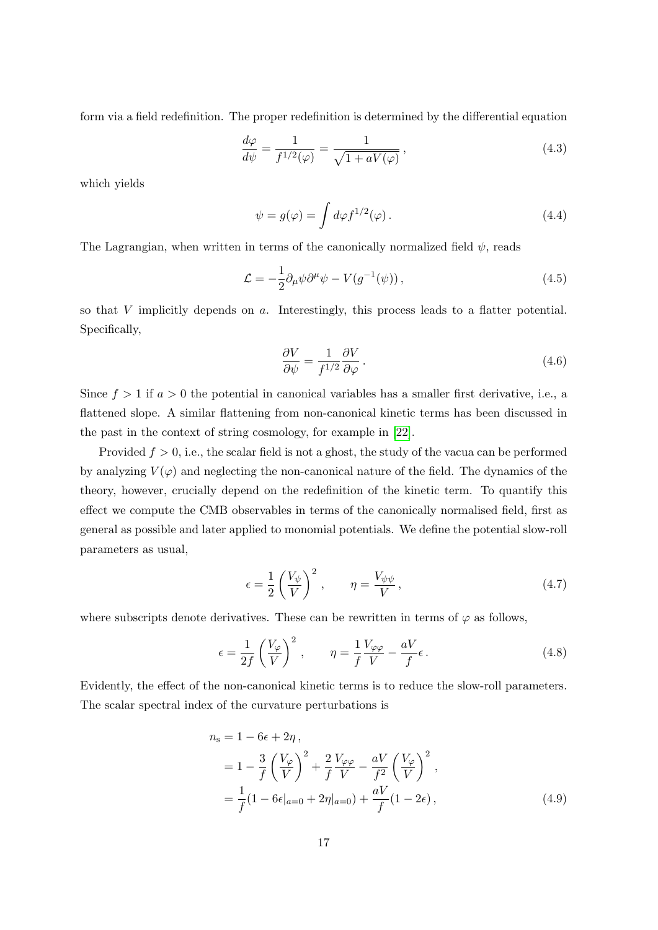form via a field redefinition. The proper redefinition is determined by the differential equation

$$
\frac{d\varphi}{d\psi} = \frac{1}{f^{1/2}(\varphi)} = \frac{1}{\sqrt{1 + aV(\varphi)}},\tag{4.3}
$$

which yields

<span id="page-17-0"></span>
$$
\psi = g(\varphi) = \int d\varphi f^{1/2}(\varphi). \tag{4.4}
$$

The Lagrangian, when written in terms of the canonically normalized field  $\psi$ , reads

$$
\mathcal{L} = -\frac{1}{2}\partial_{\mu}\psi\partial^{\mu}\psi - V(g^{-1}(\psi)),\tag{4.5}
$$

so that  $V$  implicitly depends on  $a$ . Interestingly, this process leads to a flatter potential. Specifically,

$$
\frac{\partial V}{\partial \psi} = \frac{1}{f^{1/2}} \frac{\partial V}{\partial \varphi}.
$$
\n(4.6)

Since  $f > 1$  if  $a > 0$  the potential in canonical variables has a smaller first derivative, i.e., a flattened slope. A similar flattening from non-canonical kinetic terms has been discussed in the past in the context of string cosmology, for example in [\[22\]](#page-24-2).

Provided  $f > 0$ , i.e., the scalar field is not a ghost, the study of the vacua can be performed by analyzing  $V(\varphi)$  and neglecting the non-canonical nature of the field. The dynamics of the theory, however, crucially depend on the redefinition of the kinetic term. To quantify this effect we compute the CMB observables in terms of the canonically normalised field, first as general as possible and later applied to monomial potentials. We define the potential slow-roll parameters as usual,

$$
\epsilon = \frac{1}{2} \left( \frac{V_{\psi}}{V} \right)^2, \qquad \eta = \frac{V_{\psi\psi}}{V}, \qquad (4.7)
$$

where subscripts denote derivatives. These can be rewritten in terms of  $\varphi$  as follows,

$$
\epsilon = \frac{1}{2f} \left(\frac{V_{\varphi}}{V}\right)^2, \qquad \eta = \frac{1}{f} \frac{V_{\varphi\varphi}}{V} - \frac{aV}{f} \epsilon. \tag{4.8}
$$

Evidently, the effect of the non-canonical kinetic terms is to reduce the slow-roll parameters. The scalar spectral index of the curvature perturbations is

$$
n_{s} = 1 - 6\epsilon + 2\eta,
$$
  
=  $1 - \frac{3}{f} \left(\frac{V_{\varphi}}{V}\right)^{2} + \frac{2}{f} \frac{V_{\varphi\varphi}}{V} - \frac{aV}{f^{2}} \left(\frac{V_{\varphi}}{V}\right)^{2},$   
=  $\frac{1}{f} (1 - 6\epsilon|_{a=0} + 2\eta|_{a=0}) + \frac{aV}{f} (1 - 2\epsilon),$  (4.9)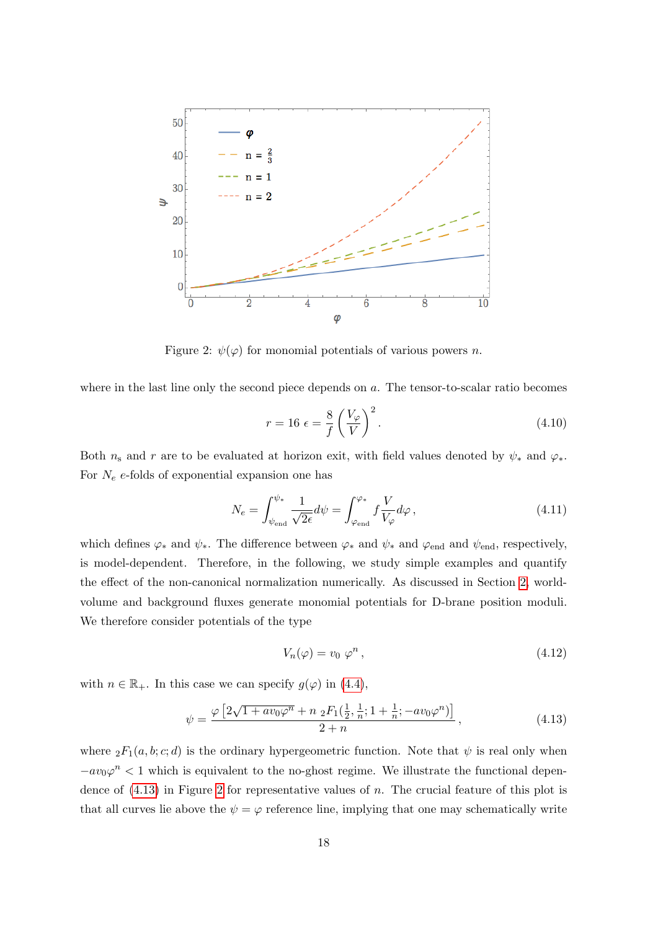

<span id="page-18-1"></span>Figure 2:  $\psi(\varphi)$  for monomial potentials of various powers *n*.

where in the last line only the second piece depends on a. The tensor-to-scalar ratio becomes

$$
r = 16 \epsilon = \frac{8}{f} \left(\frac{V_{\varphi}}{V}\right)^2.
$$
\n(4.10)

Both  $n_s$  and r are to be evaluated at horizon exit, with field values denoted by  $\psi_*$  and  $\varphi_*$ . For  $N_e$  e-folds of exponential expansion one has

$$
N_e = \int_{\psi_{\text{end}}}^{\psi_*} \frac{1}{\sqrt{2\epsilon}} d\psi = \int_{\varphi_{\text{end}}}^{\varphi_*} f \frac{V}{V_\varphi} d\varphi , \qquad (4.11)
$$

which defines  $\varphi_*$  and  $\psi_*$ . The difference between  $\varphi_*$  and  $\psi_*$  and  $\varphi_{end}$  and  $\psi_{end}$ , respectively, is model-dependent. Therefore, in the following, we study simple examples and quantify the effect of the non-canonical normalization numerically. As discussed in Section [2,](#page-3-0) worldvolume and background fluxes generate monomial potentials for D-brane position moduli. We therefore consider potentials of the type

<span id="page-18-0"></span>
$$
V_n(\varphi) = v_0 \varphi^n, \qquad (4.12)
$$

with  $n \in \mathbb{R}_+$ . In this case we can specify  $g(\varphi)$  in [\(4.4\)](#page-17-0),

$$
\psi = \frac{\varphi \left[2\sqrt{1 + av_0 \varphi^n} + n \, {}_2F_1(\frac{1}{2}, \frac{1}{n}; 1 + \frac{1}{n}; -av_0 \varphi^n)\right]}{2 + n},\tag{4.13}
$$

where  ${}_2F_1(a, b; c; d)$  is the ordinary hypergeometric function. Note that  $\psi$  is real only when  $-av_0\varphi^n < 1$  which is equivalent to the no-ghost regime. We illustrate the functional dependence of  $(4.13)$  in Figure [2](#page-18-1) for representative values of n. The crucial feature of this plot is that all curves lie above the  $\psi = \varphi$  reference line, implying that one may schematically write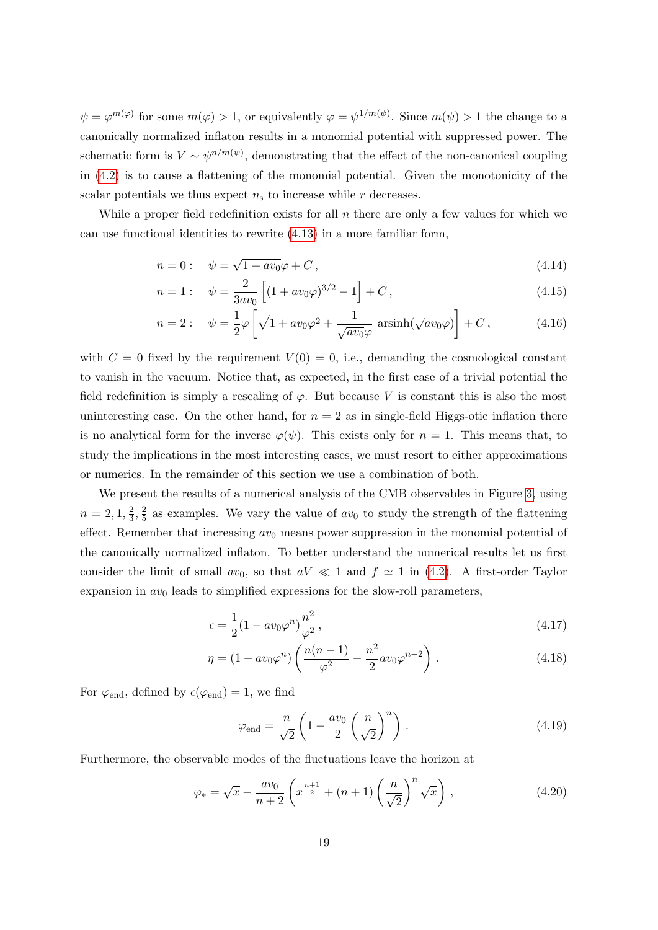$\psi = \varphi^{m(\varphi)}$  for some  $m(\varphi) > 1$ , or equivalently  $\varphi = \psi^{1/m(\psi)}$ . Since  $m(\psi) > 1$  the change to a canonically normalized inflaton results in a monomial potential with suppressed power. The schematic form is  $V \sim \psi^{n/m(\psi)}$ , demonstrating that the effect of the non-canonical coupling in [\(4.2\)](#page-16-1) is to cause a flattening of the monomial potential. Given the monotonicity of the scalar potentials we thus expect  $n<sub>s</sub>$  to increase while r decreases.

While a proper field redefinition exists for all  $n$  there are only a few values for which we can use functional identities to rewrite [\(4.13\)](#page-18-0) in a more familiar form,

$$
n = 0: \quad \psi = \sqrt{1 + av_0}\varphi + C\,,\tag{4.14}
$$

$$
n = 1: \quad \psi = \frac{2}{3av_0} \left[ (1 + av_0 \varphi)^{3/2} - 1 \right] + C, \tag{4.15}
$$

$$
n = 2: \quad \psi = \frac{1}{2}\varphi \left[ \sqrt{1 + av_0 \varphi^2} + \frac{1}{\sqrt{av_0 \varphi}} \operatorname{arsinh}(\sqrt{av_0 \varphi}) \right] + C, \tag{4.16}
$$

with  $C = 0$  fixed by the requirement  $V(0) = 0$ , i.e., demanding the cosmological constant to vanish in the vacuum. Notice that, as expected, in the first case of a trivial potential the field redefinition is simply a rescaling of  $\varphi$ . But because V is constant this is also the most uninteresting case. On the other hand, for  $n = 2$  as in single-field Higgs-otic inflation there is no analytical form for the inverse  $\varphi(\psi)$ . This exists only for  $n = 1$ . This means that, to study the implications in the most interesting cases, we must resort to either approximations or numerics. In the remainder of this section we use a combination of both.

We present the results of a numerical analysis of the CMB observables in Figure [3,](#page-20-0) using  $n=2,1,\frac{2}{3}$  $\frac{2}{3}, \frac{2}{5}$  $\frac{2}{5}$  as examples. We vary the value of  $av_0$  to study the strength of the flattening effect. Remember that increasing  $av_0$  means power suppression in the monomial potential of the canonically normalized inflaton. To better understand the numerical results let us first consider the limit of small  $av_0$ , so that  $aV \ll 1$  and  $f \approx 1$  in [\(4.2\)](#page-16-1). A first-order Taylor expansion in  $av_0$  leads to simplified expressions for the slow-roll parameters,

$$
\epsilon = \frac{1}{2}(1 - av_0\varphi^n)\frac{n^2}{\varphi^2},\tag{4.17}
$$

$$
\eta = (1 - av_0 \varphi^n) \left( \frac{n(n-1)}{\varphi^2} - \frac{n^2}{2} av_0 \varphi^{n-2} \right).
$$
 (4.18)

For  $\varphi_{end}$ , defined by  $\epsilon(\varphi_{end}) = 1$ , we find

$$
\varphi_{\text{end}} = \frac{n}{\sqrt{2}} \left( 1 - \frac{av_0}{2} \left( \frac{n}{\sqrt{2}} \right)^n \right). \tag{4.19}
$$

Furthermore, the observable modes of the fluctuations leave the horizon at

$$
\varphi_* = \sqrt{x} - \frac{av_0}{n+2} \left( x^{\frac{n+1}{2}} + (n+1) \left( \frac{n}{\sqrt{2}} \right)^n \sqrt{x} \right), \tag{4.20}
$$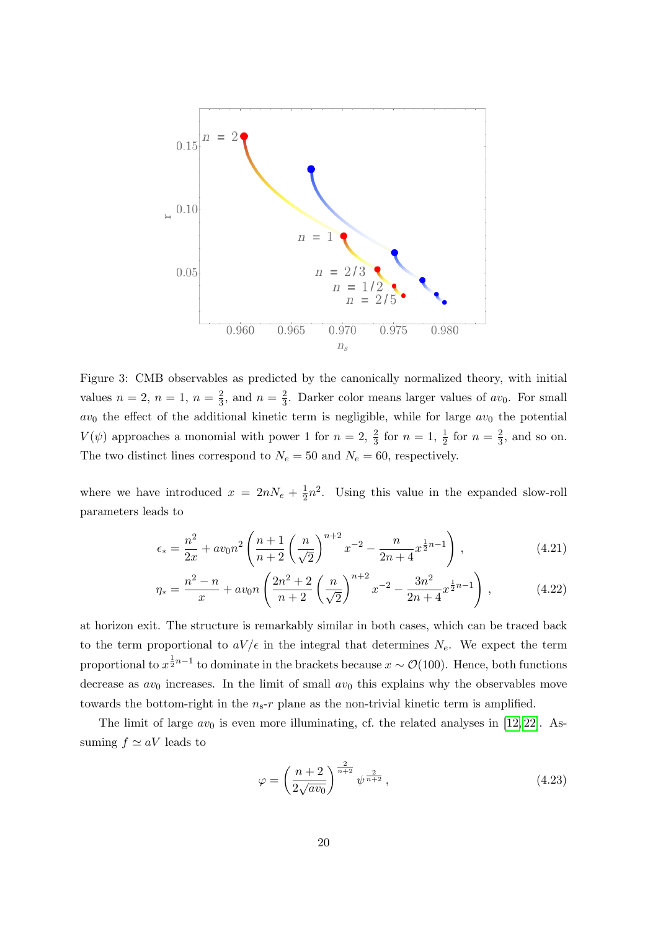

<span id="page-20-0"></span>Figure 3: CMB observables as predicted by the canonically normalized theory, with initial values  $n = 2, n = 1, n = \frac{2}{3}$  $\frac{2}{3}$ , and  $n = \frac{2}{3}$  $\frac{2}{3}$ . Darker color means larger values of  $av_0$ . For small  $av_0$  the effect of the additional kinetic term is negligible, while for large  $av_0$  the potential  $V(\psi)$  approaches a monomial with power 1 for  $n=2, \frac{2}{3}$  for  $n=1, \frac{1}{2}$  for  $n=\frac{2}{3}$  $\frac{2}{3}$ , and so on. The two distinct lines correspond to  $N_e = 50$  and  $N_e = 60$ , respectively.

where we have introduced  $x = 2nN_e + \frac{1}{2}$  $\frac{1}{2}n^2$ . Using this value in the expanded slow-roll parameters leads to

$$
\epsilon_* = \frac{n^2}{2x} + av_0 n^2 \left( \frac{n+1}{n+2} \left( \frac{n}{\sqrt{2}} \right)^{n+2} x^{-2} - \frac{n}{2n+4} x^{\frac{1}{2}n-1} \right),\tag{4.21}
$$

$$
\eta_* = \frac{n^2 - n}{x} + av_0 n \left( \frac{2n^2 + 2}{n + 2} \left( \frac{n}{\sqrt{2}} \right)^{n+2} x^{-2} - \frac{3n^2}{2n + 4} x^{\frac{1}{2}n - 1} \right),\tag{4.22}
$$

at horizon exit. The structure is remarkably similar in both cases, which can be traced back to the term proportional to  $aV/\epsilon$  in the integral that determines  $N_e$ . We expect the term proportional to  $x^{\frac{1}{2}n-1}$  to dominate in the brackets because  $x \sim \mathcal{O}(100)$ . Hence, both functions decrease as  $av_0$  increases. In the limit of small  $av_0$  this explains why the observables move towards the bottom-right in the  $n_s$ -r plane as the non-trivial kinetic term is amplified.

The limit of large  $av_0$  is even more illuminating, cf. the related analyses in [\[12,](#page-23-8) [22\]](#page-24-2). Assuming  $f \simeq aV$  leads to

$$
\varphi = \left(\frac{n+2}{2\sqrt{av_0}}\right)^{\frac{2}{n+2}} \psi^{\frac{2}{n+2}},\tag{4.23}
$$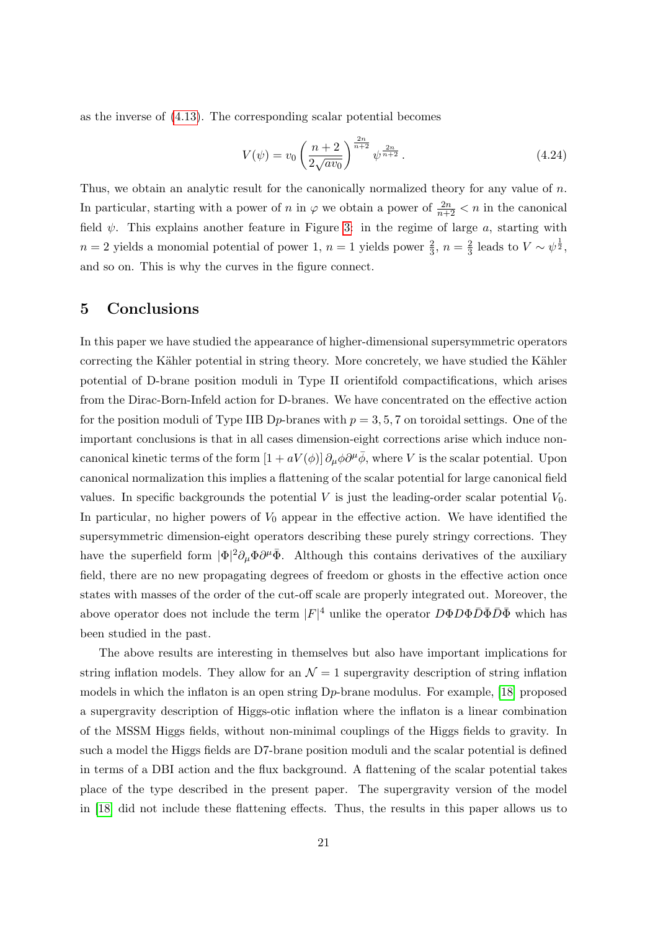as the inverse of [\(4.13\)](#page-18-0). The corresponding scalar potential becomes

$$
V(\psi) = v_0 \left(\frac{n+2}{2\sqrt{av_0}}\right)^{\frac{2n}{n+2}} \psi^{\frac{2n}{n+2}}.
$$
\n(4.24)

Thus, we obtain an analytic result for the canonically normalized theory for any value of n. In particular, starting with a power of  $n$  in  $\varphi$  we obtain a power of  $\frac{2n}{n+2} < n$  in the canonical field  $\psi$ . This explains another feature in Figure [3:](#page-20-0) in the regime of large a, starting with  $n=2$  yields a monomial potential of power 1,  $n=1$  yields power  $\frac{2}{3}$ ,  $n=\frac{2}{3}$  $\frac{2}{3}$  leads to  $V \sim \psi^{\frac{1}{2}},$ and so on. This is why the curves in the figure connect.

### <span id="page-21-0"></span>5 Conclusions

In this paper we have studied the appearance of higher-dimensional supersymmetric operators correcting the Kähler potential in string theory. More concretely, we have studied the Kähler potential of D-brane position moduli in Type II orientifold compactifications, which arises from the Dirac-Born-Infeld action for D-branes. We have concentrated on the effective action for the position moduli of Type IIB D<sub>p</sub>-branes with  $p = 3, 5, 7$  on toroidal settings. One of the important conclusions is that in all cases dimension-eight corrections arise which induce noncanonical kinetic terms of the form  $[1 + aV(\phi)] \partial_\mu \phi \partial^\mu \bar{\phi}$ , where V is the scalar potential. Upon canonical normalization this implies a flattening of the scalar potential for large canonical field values. In specific backgrounds the potential V is just the leading-order scalar potential  $V_0$ . In particular, no higher powers of  $V_0$  appear in the effective action. We have identified the supersymmetric dimension-eight operators describing these purely stringy corrections. They have the superfield form  $|\Phi|^2 \partial_\mu \Phi \partial^\mu \bar{\Phi}$ . Although this contains derivatives of the auxiliary field, there are no new propagating degrees of freedom or ghosts in the effective action once states with masses of the order of the cut-off scale are properly integrated out. Moreover, the above operator does not include the term  $|F|^4$  unlike the operator  $D\Phi D\Phi \bar{D}\bar{\Phi} \bar{D}\bar{\Phi}$  which has been studied in the past.

The above results are interesting in themselves but also have important implications for string inflation models. They allow for an  $\mathcal{N}=1$  supergravity description of string inflation models in which the inflaton is an open string Dp-brane modulus. For example, [\[18\]](#page-23-5) proposed a supergravity description of Higgs-otic inflation where the inflaton is a linear combination of the MSSM Higgs fields, without non-minimal couplings of the Higgs fields to gravity. In such a model the Higgs fields are D7-brane position moduli and the scalar potential is defined in terms of a DBI action and the flux background. A flattening of the scalar potential takes place of the type described in the present paper. The supergravity version of the model in [\[18\]](#page-23-5) did not include these flattening effects. Thus, the results in this paper allows us to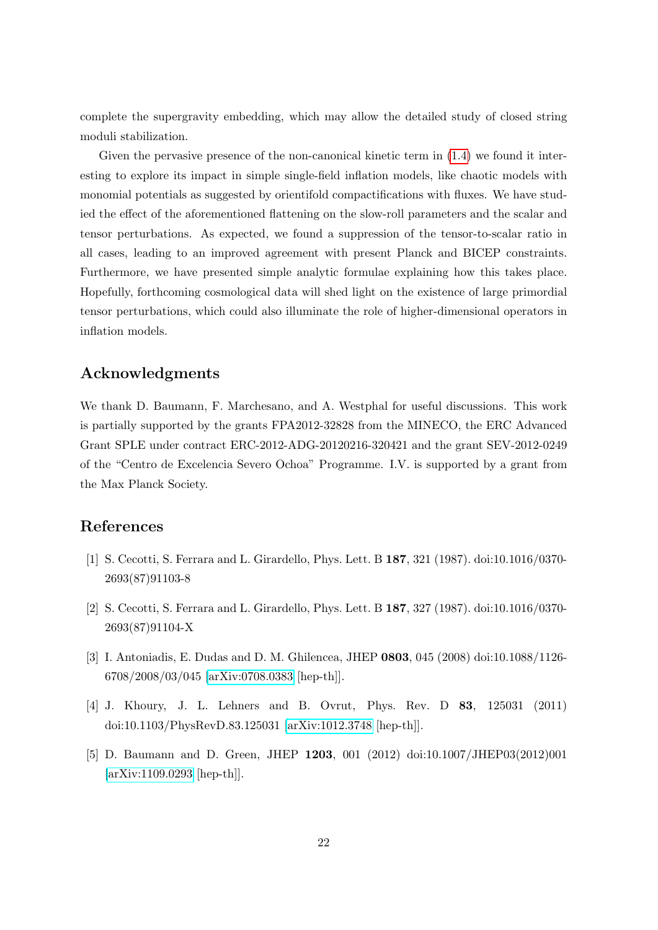complete the supergravity embedding, which may allow the detailed study of closed string moduli stabilization.

Given the pervasive presence of the non-canonical kinetic term in [\(1.4\)](#page-2-1) we found it interesting to explore its impact in simple single-field inflation models, like chaotic models with monomial potentials as suggested by orientifold compactifications with fluxes. We have studied the effect of the aforementioned flattening on the slow-roll parameters and the scalar and tensor perturbations. As expected, we found a suppression of the tensor-to-scalar ratio in all cases, leading to an improved agreement with present Planck and BICEP constraints. Furthermore, we have presented simple analytic formulae explaining how this takes place. Hopefully, forthcoming cosmological data will shed light on the existence of large primordial tensor perturbations, which could also illuminate the role of higher-dimensional operators in inflation models.

### Acknowledgments

We thank D. Baumann, F. Marchesano, and A. Westphal for useful discussions. This work is partially supported by the grants FPA2012-32828 from the MINECO, the ERC Advanced Grant SPLE under contract ERC-2012-ADG-20120216-320421 and the grant SEV-2012-0249 of the "Centro de Excelencia Severo Ochoa" Programme. I.V. is supported by a grant from the Max Planck Society.

## References

- <span id="page-22-0"></span>[1] S. Cecotti, S. Ferrara and L. Girardello, Phys. Lett. B 187, 321 (1987). doi:10.1016/0370- 2693(87)91103-8
- [2] S. Cecotti, S. Ferrara and L. Girardello, Phys. Lett. B 187, 327 (1987). doi:10.1016/0370- 2693(87)91104-X
- [3] I. Antoniadis, E. Dudas and D. M. Ghilencea, JHEP 0803, 045 (2008) doi:10.1088/1126- 6708/2008/03/045 [\[arXiv:0708.0383](http://arxiv.org/abs/0708.0383) [hep-th]].
- <span id="page-22-1"></span>[4] J. Khoury, J. L. Lehners and B. Ovrut, Phys. Rev. D 83, 125031 (2011) doi:10.1103/PhysRevD.83.125031 [\[arXiv:1012.3748](http://arxiv.org/abs/1012.3748) [hep-th]].
- <span id="page-22-2"></span>[5] D. Baumann and D. Green, JHEP 1203, 001 (2012) doi:10.1007/JHEP03(2012)001 [\[arXiv:1109.0293](http://arxiv.org/abs/1109.0293) [hep-th]].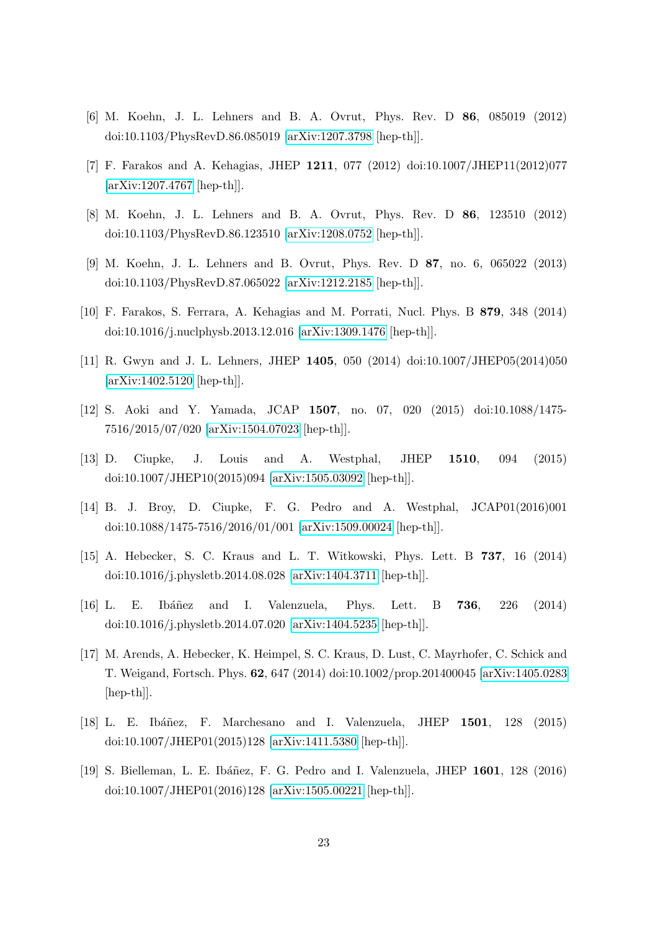- <span id="page-23-6"></span>[6] M. Koehn, J. L. Lehners and B. A. Ovrut, Phys. Rev. D 86, 085019 (2012) doi:10.1103/PhysRevD.86.085019 [\[arXiv:1207.3798](http://arxiv.org/abs/1207.3798) [hep-th]].
- [7] F. Farakos and A. Kehagias, JHEP 1211, 077 (2012) doi:10.1007/JHEP11(2012)077 [\[arXiv:1207.4767](http://arxiv.org/abs/1207.4767) [hep-th]].
- <span id="page-23-7"></span>[8] M. Koehn, J. L. Lehners and B. A. Ovrut, Phys. Rev. D 86, 123510 (2012) doi:10.1103/PhysRevD.86.123510 [\[arXiv:1208.0752](http://arxiv.org/abs/1208.0752) [hep-th]].
- <span id="page-23-1"></span>[9] M. Koehn, J. L. Lehners and B. Ovrut, Phys. Rev. D 87, no. 6, 065022 (2013) doi:10.1103/PhysRevD.87.065022 [\[arXiv:1212.2185](http://arxiv.org/abs/1212.2185) [hep-th]].
- [10] F. Farakos, S. Ferrara, A. Kehagias and M. Porrati, Nucl. Phys. B 879, 348 (2014) doi:10.1016/j.nuclphysb.2013.12.016 [\[arXiv:1309.1476](http://arxiv.org/abs/1309.1476) [hep-th]].
- [11] R. Gwyn and J. L. Lehners, JHEP 1405, 050 (2014) doi:10.1007/JHEP05(2014)050 [\[arXiv:1402.5120](http://arxiv.org/abs/1402.5120) [hep-th]].
- <span id="page-23-8"></span>[12] S. Aoki and Y. Yamada, JCAP 1507, no. 07, 020 (2015) doi:10.1088/1475- 7516/2015/07/020 [\[arXiv:1504.07023](http://arxiv.org/abs/1504.07023) [hep-th]].
- <span id="page-23-0"></span>[13] D. Ciupke, J. Louis and A. Westphal, JHEP 1510, 094 (2015) doi:10.1007/JHEP10(2015)094 [\[arXiv:1505.03092](http://arxiv.org/abs/1505.03092) [hep-th]].
- <span id="page-23-2"></span>[14] B. J. Broy, D. Ciupke, F. G. Pedro and A. Westphal, JCAP01(2016)001 doi:10.1088/1475-7516/2016/01/001 [\[arXiv:1509.00024](http://arxiv.org/abs/1509.00024) [hep-th]].
- <span id="page-23-3"></span>[15] A. Hebecker, S. C. Kraus and L. T. Witkowski, Phys. Lett. B 737, 16 (2014) doi:10.1016/j.physletb.2014.08.028 [\[arXiv:1404.3711](http://arxiv.org/abs/1404.3711) [hep-th]].
- [16] L. E. Ibáñez and I. Valenzuela, Phys. Lett. B **736**, 226 (2014) doi:10.1016/j.physletb.2014.07.020 [\[arXiv:1404.5235](http://arxiv.org/abs/1404.5235) [hep-th]].
- [17] M. Arends, A. Hebecker, K. Heimpel, S. C. Kraus, D. Lust, C. Mayrhofer, C. Schick and T. Weigand, Fortsch. Phys. 62, 647 (2014) doi:10.1002/prop.201400045 [\[arXiv:1405.0283](http://arxiv.org/abs/1405.0283) [hep-th]].
- <span id="page-23-5"></span>[18] L. E. Ibáñez, F. Marchesano and I. Valenzuela, JHEP 1501, 128 (2015) doi:10.1007/JHEP01(2015)128 [\[arXiv:1411.5380](http://arxiv.org/abs/1411.5380) [hep-th]].
- <span id="page-23-4"></span>[19] S. Bielleman, L. E. Ibáñez, F. G. Pedro and I. Valenzuela, JHEP 1601, 128 (2016) doi:10.1007/JHEP01(2016)128 [\[arXiv:1505.00221](http://arxiv.org/abs/1505.00221) [hep-th]].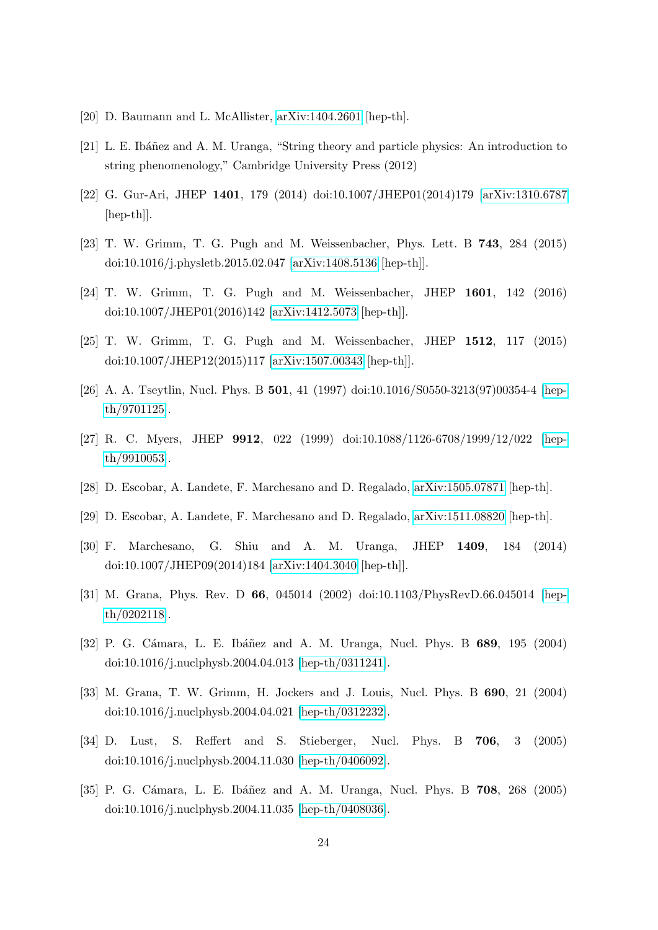- <span id="page-24-0"></span>[20] D. Baumann and L. McAllister, [arXiv:1404.2601](http://arxiv.org/abs/1404.2601) [hep-th].
- <span id="page-24-1"></span>[21] L. E. Ibáñez and A. M. Uranga, "String theory and particle physics: An introduction to string phenomenology," Cambridge University Press (2012)
- <span id="page-24-2"></span>[22] G. Gur-Ari, JHEP 1401, 179 (2014) doi:10.1007/JHEP01(2014)179 [\[arXiv:1310.6787](http://arxiv.org/abs/1310.6787) [hep-th]].
- <span id="page-24-5"></span>[23] T. W. Grimm, T. G. Pugh and M. Weissenbacher, Phys. Lett. B 743, 284 (2015) doi:10.1016/j.physletb.2015.02.047 [\[arXiv:1408.5136](http://arxiv.org/abs/1408.5136) [hep-th]].
- [24] T. W. Grimm, T. G. Pugh and M. Weissenbacher, JHEP 1601, 142 (2016) doi:10.1007/JHEP01(2016)142 [\[arXiv:1412.5073](http://arxiv.org/abs/1412.5073) [hep-th]].
- <span id="page-24-6"></span>[25] T. W. Grimm, T. G. Pugh and M. Weissenbacher, JHEP 1512, 117 (2015) doi:10.1007/JHEP12(2015)117 [\[arXiv:1507.00343](http://arxiv.org/abs/1507.00343) [hep-th]].
- <span id="page-24-3"></span>[26] A. A. Tseytlin, Nucl. Phys. B 501, 41 (1997) doi:10.1016/S0550-3213(97)00354-4 [\[hep](http://arxiv.org/abs/hep-th/9701125)[th/9701125\]](http://arxiv.org/abs/hep-th/9701125).
- <span id="page-24-4"></span>[27] R. C. Myers, JHEP 9912, 022 (1999) doi:10.1088/1126-6708/1999/12/022 [\[hep](http://arxiv.org/abs/hep-th/9910053)[th/9910053\]](http://arxiv.org/abs/hep-th/9910053).
- <span id="page-24-7"></span>[28] D. Escobar, A. Landete, F. Marchesano and D. Regalado, [arXiv:1505.07871](http://arxiv.org/abs/1505.07871) [hep-th].
- <span id="page-24-8"></span>[29] D. Escobar, A. Landete, F. Marchesano and D. Regalado, [arXiv:1511.08820](http://arxiv.org/abs/1511.08820) [hep-th].
- <span id="page-24-9"></span>[30] F. Marchesano, G. Shiu and A. M. Uranga, JHEP 1409, 184 (2014) doi:10.1007/JHEP09(2014)184 [\[arXiv:1404.3040](http://arxiv.org/abs/1404.3040) [hep-th]].
- <span id="page-24-10"></span>[31] M. Grana, Phys. Rev. D 66, 045014 (2002) doi:10.1103/PhysRevD.66.045014 [\[hep](http://arxiv.org/abs/hep-th/0202118)[th/0202118\]](http://arxiv.org/abs/hep-th/0202118).
- [32] P. G. Cámara, L. E. Ibáñez and A. M. Uranga, Nucl. Phys. B 689, 195 (2004) doi:10.1016/j.nuclphysb.2004.04.013 [\[hep-th/0311241\]](http://arxiv.org/abs/hep-th/0311241).
- [33] M. Grana, T. W. Grimm, H. Jockers and J. Louis, Nucl. Phys. B 690, 21 (2004) doi:10.1016/j.nuclphysb.2004.04.021 [\[hep-th/0312232\]](http://arxiv.org/abs/hep-th/0312232).
- [34] D. Lust, S. Reffert and S. Stieberger, Nucl. Phys. B 706, 3 (2005) doi:10.1016/j.nuclphysb.2004.11.030 [\[hep-th/0406092\]](http://arxiv.org/abs/hep-th/0406092).
- [35] P. G. Cámara, L. E. Ibáñez and A. M. Uranga, Nucl. Phys. B 708, 268 (2005) doi:10.1016/j.nuclphysb.2004.11.035 [\[hep-th/0408036\]](http://arxiv.org/abs/hep-th/0408036).